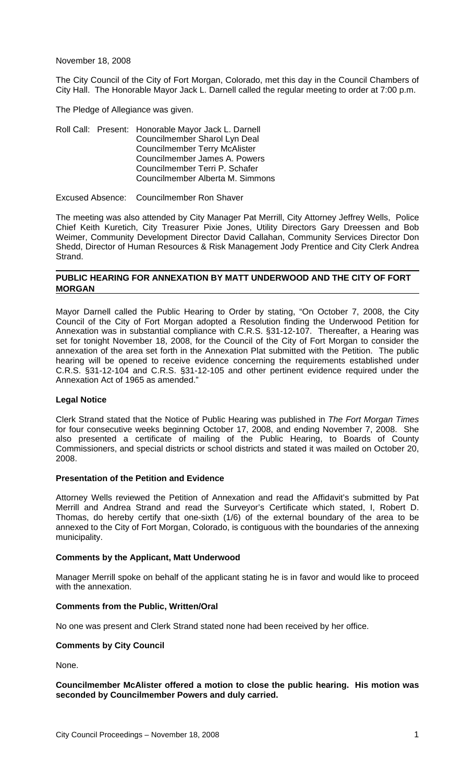November 18, 2008

The City Council of the City of Fort Morgan, Colorado, met this day in the Council Chambers of City Hall. The Honorable Mayor Jack L. Darnell called the regular meeting to order at 7:00 p.m.

The Pledge of Allegiance was given.

Roll Call: Present: Honorable Mayor Jack L. Darnell Councilmember Sharol Lyn Deal Councilmember Terry McAlister Councilmember James A. Powers Councilmember Terri P. Schafer Councilmember Alberta M. Simmons

Excused Absence: Councilmember Ron Shaver

The meeting was also attended by City Manager Pat Merrill, City Attorney Jeffrey Wells, Police Chief Keith Kuretich, City Treasurer Pixie Jones, Utility Directors Gary Dreessen and Bob Weimer, Community Development Director David Callahan, Community Services Director Don Shedd, Director of Human Resources & Risk Management Jody Prentice and City Clerk Andrea Strand.

### **PUBLIC HEARING FOR ANNEXATION BY MATT UNDERWOOD AND THE CITY OF FORT MORGAN**

Mayor Darnell called the Public Hearing to Order by stating, "On October 7, 2008, the City Council of the City of Fort Morgan adopted a Resolution finding the Underwood Petition for Annexation was in substantial compliance with C.R.S. §31-12-107. Thereafter, a Hearing was set for tonight November 18, 2008, for the Council of the City of Fort Morgan to consider the annexation of the area set forth in the Annexation Plat submitted with the Petition. The public hearing will be opened to receive evidence concerning the requirements established under C.R.S. §31-12-104 and C.R.S. §31-12-105 and other pertinent evidence required under the Annexation Act of 1965 as amended."

#### **Legal Notice**

Clerk Strand stated that the Notice of Public Hearing was published in *The Fort Morgan Times* for four consecutive weeks beginning October 17, 2008, and ending November 7, 2008. She also presented a certificate of mailing of the Public Hearing, to Boards of County Commissioners, and special districts or school districts and stated it was mailed on October 20, 2008.

#### **Presentation of the Petition and Evidence**

Attorney Wells reviewed the Petition of Annexation and read the Affidavit's submitted by Pat Merrill and Andrea Strand and read the Surveyor's Certificate which stated, I, Robert D. Thomas, do hereby certify that one-sixth (1/6) of the external boundary of the area to be annexed to the City of Fort Morgan, Colorado, is contiguous with the boundaries of the annexing municipality.

#### **Comments by the Applicant, Matt Underwood**

Manager Merrill spoke on behalf of the applicant stating he is in favor and would like to proceed with the annexation.

#### **Comments from the Public, Written/Oral**

No one was present and Clerk Strand stated none had been received by her office.

#### **Comments by City Council**

None.

## **Councilmember McAlister offered a motion to close the public hearing. His motion was seconded by Councilmember Powers and duly carried.**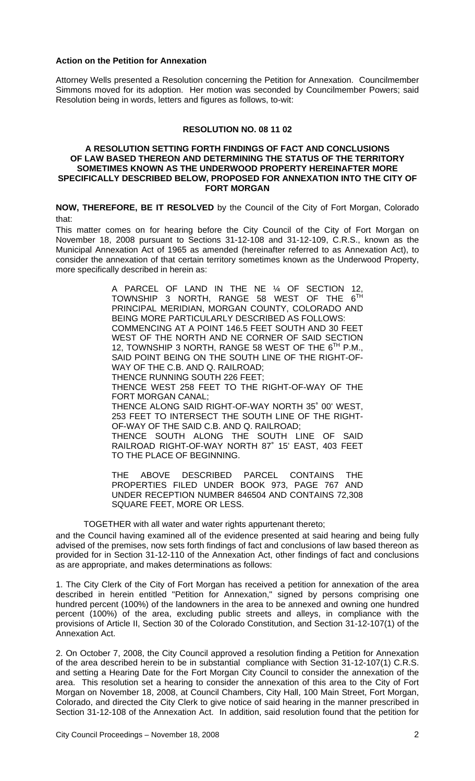### **Action on the Petition for Annexation**

Attorney Wells presented a Resolution concerning the Petition for Annexation. Councilmember Simmons moved for its adoption. Her motion was seconded by Councilmember Powers; said Resolution being in words, letters and figures as follows, to-wit:

### **RESOLUTION NO. 08 11 02**

#### **A RESOLUTION SETTING FORTH FINDINGS OF FACT AND CONCLUSIONS OF LAW BASED THEREON AND DETERMINING THE STATUS OF THE TERRITORY SOMETIMES KNOWN AS THE UNDERWOOD PROPERTY HEREINAFTER MORE SPECIFICALLY DESCRIBED BELOW, PROPOSED FOR ANNEXATION INTO THE CITY OF FORT MORGAN**

**NOW, THEREFORE, BE IT RESOLVED** by the Council of the City of Fort Morgan, Colorado that:

This matter comes on for hearing before the City Council of the City of Fort Morgan on November 18, 2008 pursuant to Sections 31-12-108 and 31-12-109, C.R.S., known as the Municipal Annexation Act of 1965 as amended (hereinafter referred to as Annexation Act), to consider the annexation of that certain territory sometimes known as the Underwood Property, more specifically described in herein as:

> A PARCEL OF LAND IN THE NE ¼ OF SECTION 12, TOWNSHIP 3 NORTH, RANGE 58 WEST OF THE 6<sup>TH</sup> PRINCIPAL MERIDIAN, MORGAN COUNTY, COLORADO AND BEING MORE PARTICULARLY DESCRIBED AS FOLLOWS: COMMENCING AT A POINT 146.5 FEET SOUTH AND 30 FEET WEST OF THE NORTH AND NE CORNER OF SAID SECTION 12, TOWNSHIP 3 NORTH, RANGE 58 WEST OF THE 6<sup>TH</sup> P.M., SAID POINT BEING ON THE SOUTH LINE OF THE RIGHT-OF-WAY OF THE C.B. AND Q. RAILROAD; THENCE RUNNING SOUTH 226 FEET; THENCE WEST 258 FEET TO THE RIGHT-OF-WAY OF THE FORT MORGAN CANAL; THENCE ALONG SAID RIGHT-OF-WAY NORTH 35˚ 00' WEST, 253 FEET TO INTERSECT THE SOUTH LINE OF THE RIGHT-OF-WAY OF THE SAID C.B. AND Q. RAILROAD;

THENCE SOUTH ALONG THE SOUTH LINE OF SAID RAILROAD RIGHT-OF-WAY NORTH 87˚ 15' EAST, 403 FEET TO THE PLACE OF BEGINNING.

THE ABOVE DESCRIBED PARCEL CONTAINS THE PROPERTIES FILED UNDER BOOK 973, PAGE 767 AND UNDER RECEPTION NUMBER 846504 AND CONTAINS 72,308 SQUARE FEET, MORE OR LESS.

TOGETHER with all water and water rights appurtenant thereto;

and the Council having examined all of the evidence presented at said hearing and being fully advised of the premises, now sets forth findings of fact and conclusions of law based thereon as provided for in Section 31-12-110 of the Annexation Act, other findings of fact and conclusions as are appropriate, and makes determinations as follows:

1. The City Clerk of the City of Fort Morgan has received a petition for annexation of the area described in herein entitled "Petition for Annexation," signed by persons comprising one hundred percent (100%) of the landowners in the area to be annexed and owning one hundred percent (100%) of the area, excluding public streets and alleys, in compliance with the provisions of Article II, Section 30 of the Colorado Constitution, and Section 31-12-107(1) of the Annexation Act.

2. On October 7, 2008, the City Council approved a resolution finding a Petition for Annexation of the area described herein to be in substantial compliance with Section 31-12-107(1) C.R.S. and setting a Hearing Date for the Fort Morgan City Council to consider the annexation of the area. This resolution set a hearing to consider the annexation of this area to the City of Fort Morgan on November 18, 2008, at Council Chambers, City Hall, 100 Main Street, Fort Morgan, Colorado, and directed the City Clerk to give notice of said hearing in the manner prescribed in Section 31-12-108 of the Annexation Act. In addition, said resolution found that the petition for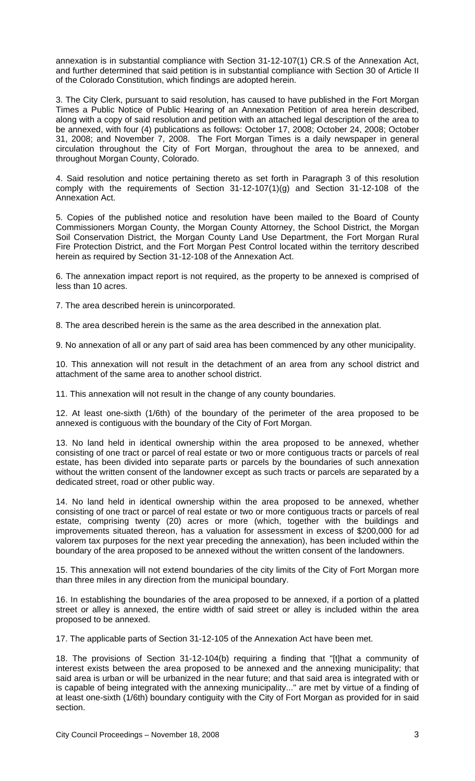annexation is in substantial compliance with Section 31-12-107(1) CR.S of the Annexation Act, and further determined that said petition is in substantial compliance with Section 30 of Article II of the Colorado Constitution, which findings are adopted herein.

3. The City Clerk, pursuant to said resolution, has caused to have published in the Fort Morgan Times a Public Notice of Public Hearing of an Annexation Petition of area herein described, along with a copy of said resolution and petition with an attached legal description of the area to be annexed, with four (4) publications as follows: October 17, 2008; October 24, 2008; October 31, 2008; and November 7, 2008. The Fort Morgan Times is a daily newspaper in general circulation throughout the City of Fort Morgan, throughout the area to be annexed, and throughout Morgan County, Colorado.

4. Said resolution and notice pertaining thereto as set forth in Paragraph 3 of this resolution comply with the requirements of Section 31-12-107(1)(g) and Section 31-12-108 of the Annexation Act.

5. Copies of the published notice and resolution have been mailed to the Board of County Commissioners Morgan County, the Morgan County Attorney, the School District, the Morgan Soil Conservation District, the Morgan County Land Use Department, the Fort Morgan Rural Fire Protection District, and the Fort Morgan Pest Control located within the territory described herein as required by Section 31-12-108 of the Annexation Act.

6. The annexation impact report is not required, as the property to be annexed is comprised of less than 10 acres.

7. The area described herein is unincorporated.

8. The area described herein is the same as the area described in the annexation plat.

9. No annexation of all or any part of said area has been commenced by any other municipality.

10. This annexation will not result in the detachment of an area from any school district and attachment of the same area to another school district.

11. This annexation will not result in the change of any county boundaries.

12. At least one-sixth (1/6th) of the boundary of the perimeter of the area proposed to be annexed is contiguous with the boundary of the City of Fort Morgan.

13. No land held in identical ownership within the area proposed to be annexed, whether consisting of one tract or parcel of real estate or two or more contiguous tracts or parcels of real estate, has been divided into separate parts or parcels by the boundaries of such annexation without the written consent of the landowner except as such tracts or parcels are separated by a dedicated street, road or other public way.

14. No land held in identical ownership within the area proposed to be annexed, whether consisting of one tract or parcel of real estate or two or more contiguous tracts or parcels of real estate, comprising twenty (20) acres or more (which, together with the buildings and improvements situated thereon, has a valuation for assessment in excess of \$200,000 for ad valorem tax purposes for the next year preceding the annexation), has been included within the boundary of the area proposed to be annexed without the written consent of the landowners.

15. This annexation will not extend boundaries of the city limits of the City of Fort Morgan more than three miles in any direction from the municipal boundary.

16. In establishing the boundaries of the area proposed to be annexed, if a portion of a platted street or alley is annexed, the entire width of said street or alley is included within the area proposed to be annexed.

17. The applicable parts of Section 31-12-105 of the Annexation Act have been met.

18. The provisions of Section 31-12-104(b) requiring a finding that "[t]hat a community of interest exists between the area proposed to be annexed and the annexing municipality; that said area is urban or will be urbanized in the near future; and that said area is integrated with or is capable of being integrated with the annexing municipality..." are met by virtue of a finding of at least one-sixth (1/6th) boundary contiguity with the City of Fort Morgan as provided for in said section.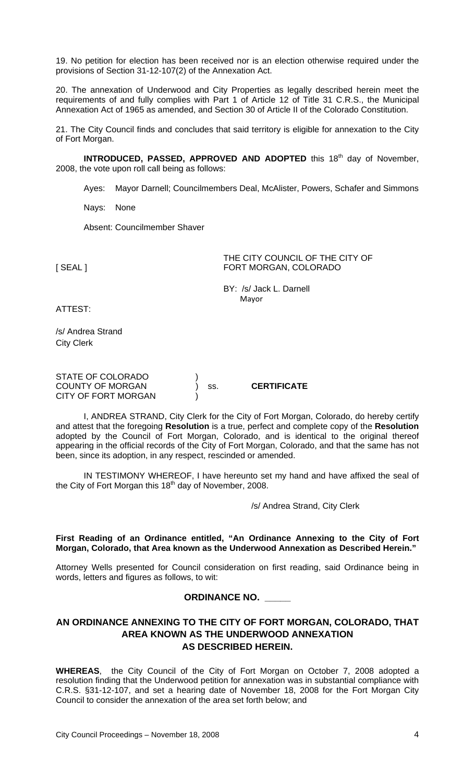19. No petition for election has been received nor is an election otherwise required under the provisions of Section 31-12-107(2) of the Annexation Act.

20. The annexation of Underwood and City Properties as legally described herein meet the requirements of and fully complies with Part 1 of Article 12 of Title 31 C.R.S., the Municipal Annexation Act of 1965 as amended, and Section 30 of Article II of the Colorado Constitution.

21. The City Council finds and concludes that said territory is eligible for annexation to the City of Fort Morgan.

**INTRODUCED, PASSED, APPROVED AND ADOPTED** this 18<sup>th</sup> day of November, 2008, the vote upon roll call being as follows:

Ayes: Mayor Darnell; Councilmembers Deal, McAlister, Powers, Schafer and Simmons

Nays: None

Absent: Councilmember Shaver

THE CITY COUNCIL OF THE CITY OF [SEAL] FORT MORGAN, COLORADO

> BY: /s/ Jack L. Darnell Mayor

ATTEST:

/s/ Andrea Strand City Clerk

| STATE OF COLORADO       |     |                    |
|-------------------------|-----|--------------------|
| <b>COUNTY OF MORGAN</b> | SS. | <b>CERTIFICATE</b> |
| CITY OF FORT MORGAN     |     |                    |

I, ANDREA STRAND, City Clerk for the City of Fort Morgan, Colorado, do hereby certify and attest that the foregoing **Resolution** is a true, perfect and complete copy of the **Resolution** adopted by the Council of Fort Morgan, Colorado, and is identical to the original thereof appearing in the official records of the City of Fort Morgan, Colorado, and that the same has not been, since its adoption, in any respect, rescinded or amended.

IN TESTIMONY WHEREOF, I have hereunto set my hand and have affixed the seal of the City of Fort Morgan this 18<sup>th</sup> day of November, 2008.

/s/ Andrea Strand, City Clerk

### **First Reading of an Ordinance entitled, "An Ordinance Annexing to the City of Fort Morgan, Colorado, that Area known as the Underwood Annexation as Described Herein."**

Attorney Wells presented for Council consideration on first reading, said Ordinance being in words, letters and figures as follows, to wit:

# **ORDINANCE NO. \_\_\_\_\_**

# **AN ORDINANCE ANNEXING TO THE CITY OF FORT MORGAN, COLORADO, THAT AREA KNOWN AS THE UNDERWOOD ANNEXATION AS DESCRIBED HEREIN.**

**WHEREAS**, the City Council of the City of Fort Morgan on October 7, 2008 adopted a resolution finding that the Underwood petition for annexation was in substantial compliance with C.R.S. §31-12-107, and set a hearing date of November 18, 2008 for the Fort Morgan City Council to consider the annexation of the area set forth below; and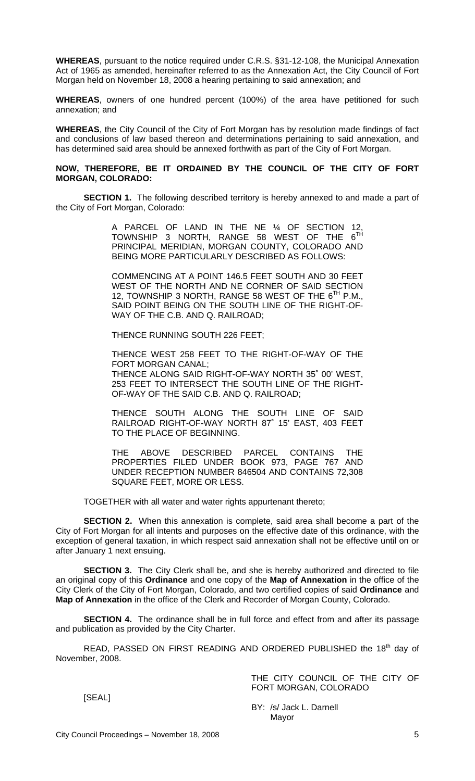**WHEREAS**, pursuant to the notice required under C.R.S. §31-12-108, the Municipal Annexation Act of 1965 as amended, hereinafter referred to as the Annexation Act, the City Council of Fort Morgan held on November 18, 2008 a hearing pertaining to said annexation; and

**WHEREAS**, owners of one hundred percent (100%) of the area have petitioned for such annexation; and

**WHEREAS**, the City Council of the City of Fort Morgan has by resolution made findings of fact and conclusions of law based thereon and determinations pertaining to said annexation, and has determined said area should be annexed forthwith as part of the City of Fort Morgan.

#### **NOW, THEREFORE, BE IT ORDAINED BY THE COUNCIL OF THE CITY OF FORT MORGAN, COLORADO:**

**SECTION 1.** The following described territory is hereby annexed to and made a part of the City of Fort Morgan, Colorado:

> A PARCEL OF LAND IN THE NE ¼ OF SECTION 12, TOWNSHIP 3 NORTH, RANGE 58 WEST OF THE 6TH PRINCIPAL MERIDIAN, MORGAN COUNTY, COLORADO AND BEING MORE PARTICULARLY DESCRIBED AS FOLLOWS:

> COMMENCING AT A POINT 146.5 FEET SOUTH AND 30 FEET WEST OF THE NORTH AND NE CORNER OF SAID SECTION 12, TOWNSHIP 3 NORTH, RANGE 58 WEST OF THE 6<sup>TH</sup> P.M., SAID POINT BEING ON THE SOUTH LINE OF THE RIGHT-OF-WAY OF THE C.B. AND Q. RAILROAD;

THENCE RUNNING SOUTH 226 FEET;

THENCE WEST 258 FEET TO THE RIGHT-OF-WAY OF THE FORT MORGAN CANAL; THENCE ALONG SAID RIGHT-OF-WAY NORTH 35˚ 00' WEST, 253 FEET TO INTERSECT THE SOUTH LINE OF THE RIGHT-OF-WAY OF THE SAID C.B. AND Q. RAILROAD;

THENCE SOUTH ALONG THE SOUTH LINE OF SAID RAILROAD RIGHT-OF-WAY NORTH 87˚ 15' EAST, 403 FEET TO THE PLACE OF BEGINNING.

THE ABOVE DESCRIBED PARCEL CONTAINS THE PROPERTIES FILED UNDER BOOK 973, PAGE 767 AND UNDER RECEPTION NUMBER 846504 AND CONTAINS 72,308 SQUARE FEET, MORE OR LESS.

TOGETHER with all water and water rights appurtenant thereto;

**SECTION 2.** When this annexation is complete, said area shall become a part of the City of Fort Morgan for all intents and purposes on the effective date of this ordinance, with the exception of general taxation, in which respect said annexation shall not be effective until on or after January 1 next ensuing.

**SECTION 3.** The City Clerk shall be, and she is hereby authorized and directed to file an original copy of this **Ordinance** and one copy of the **Map of Annexation** in the office of the City Clerk of the City of Fort Morgan, Colorado, and two certified copies of said **Ordinance** and **Map of Annexation** in the office of the Clerk and Recorder of Morgan County, Colorado.

**SECTION 4.** The ordinance shall be in full force and effect from and after its passage and publication as provided by the City Charter.

READ, PASSED ON FIRST READING AND ORDERED PUBLISHED the 18<sup>th</sup> day of November, 2008.

> THE CITY COUNCIL OF THE CITY OF FORT MORGAN, COLORADO

[SEAL]

BY: /s/ Jack L. Darnell Mayor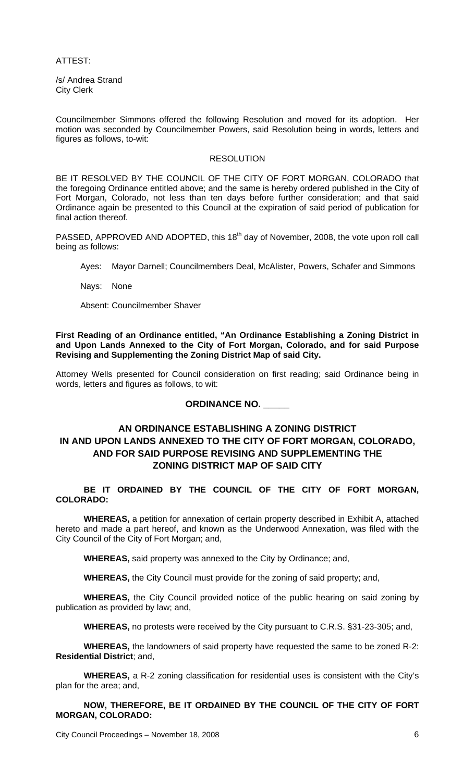ATTEST:

/s/ Andrea Strand City Clerk

Councilmember Simmons offered the following Resolution and moved for its adoption. Her motion was seconded by Councilmember Powers, said Resolution being in words, letters and figures as follows, to-wit:

#### RESOLUTION

BE IT RESOLVED BY THE COUNCIL OF THE CITY OF FORT MORGAN, COLORADO that the foregoing Ordinance entitled above; and the same is hereby ordered published in the City of Fort Morgan, Colorado, not less than ten days before further consideration; and that said Ordinance again be presented to this Council at the expiration of said period of publication for final action thereof.

PASSED, APPROVED AND ADOPTED, this 18<sup>th</sup> day of November, 2008, the vote upon roll call being as follows:

Ayes: Mayor Darnell; Councilmembers Deal, McAlister, Powers, Schafer and Simmons

Nays: None

Absent: Councilmember Shaver

**First Reading of an Ordinance entitled, "An Ordinance Establishing a Zoning District in and Upon Lands Annexed to the City of Fort Morgan, Colorado, and for said Purpose Revising and Supplementing the Zoning District Map of said City.** 

Attorney Wells presented for Council consideration on first reading; said Ordinance being in words, letters and figures as follows, to wit:

**ORDINANCE NO. \_\_\_\_\_**

# **AN ORDINANCE ESTABLISHING A ZONING DISTRICT IN AND UPON LANDS ANNEXED TO THE CITY OF FORT MORGAN, COLORADO, AND FOR SAID PURPOSE REVISING AND SUPPLEMENTING THE ZONING DISTRICT MAP OF SAID CITY**

**BE IT ORDAINED BY THE COUNCIL OF THE CITY OF FORT MORGAN, COLORADO:** 

**WHEREAS,** a petition for annexation of certain property described in Exhibit A, attached hereto and made a part hereof, and known as the Underwood Annexation, was filed with the City Council of the City of Fort Morgan; and,

**WHEREAS,** said property was annexed to the City by Ordinance; and,

**WHEREAS,** the City Council must provide for the zoning of said property; and,

**WHEREAS,** the City Council provided notice of the public hearing on said zoning by publication as provided by law; and,

**WHEREAS,** no protests were received by the City pursuant to C.R.S. §31-23-305; and,

**WHEREAS,** the landowners of said property have requested the same to be zoned R-2: **Residential District**; and,

**WHEREAS,** a R-2 zoning classification for residential uses is consistent with the City's plan for the area; and,

**NOW, THEREFORE, BE IT ORDAINED BY THE COUNCIL OF THE CITY OF FORT MORGAN, COLORADO:** 

City Council Proceedings – November 18, 2008 **6**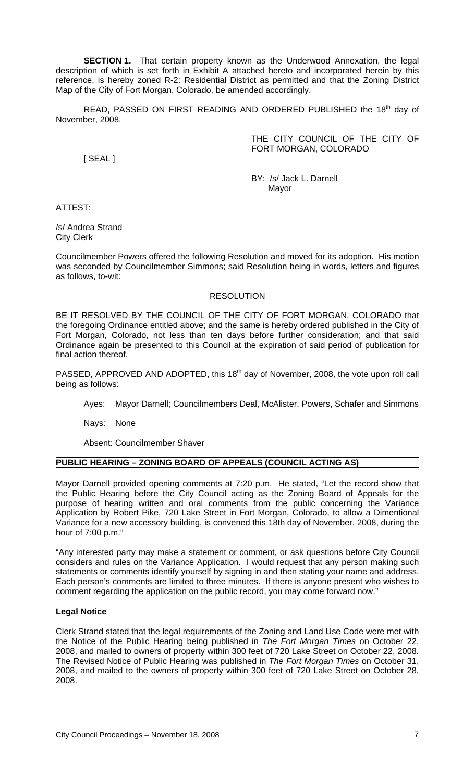**SECTION 1.** That certain property known as the Underwood Annexation, the legal description of which is set forth in Exhibit A attached hereto and incorporated herein by this reference, is hereby zoned R-2: Residential District as permitted and that the Zoning District Map of the City of Fort Morgan, Colorado, be amended accordingly.

READ, PASSED ON FIRST READING AND ORDERED PUBLISHED the 18<sup>th</sup> day of November, 2008.

> THE CITY COUNCIL OF THE CITY OF FORT MORGAN, COLORADO

[ SEAL ]

BY: /s/ Jack L. Darnell Mayor

ATTEST:

/s/ Andrea Strand City Clerk

Councilmember Powers offered the following Resolution and moved for its adoption. His motion was seconded by Councilmember Simmons; said Resolution being in words, letters and figures as follows, to-wit:

## RESOLUTION

BE IT RESOLVED BY THE COUNCIL OF THE CITY OF FORT MORGAN, COLORADO that the foregoing Ordinance entitled above; and the same is hereby ordered published in the City of Fort Morgan, Colorado, not less than ten days before further consideration; and that said Ordinance again be presented to this Council at the expiration of said period of publication for final action thereof.

PASSED, APPROVED AND ADOPTED, this 18<sup>th</sup> day of November, 2008, the vote upon roll call being as follows:

Ayes: Mayor Darnell; Councilmembers Deal, McAlister, Powers, Schafer and Simmons

Nays: None

Absent: Councilmember Shaver

#### **PUBLIC HEARING – ZONING BOARD OF APPEALS (COUNCIL ACTING AS)**

Mayor Darnell provided opening comments at 7:20 p.m. He stated, "Let the record show that the Public Hearing before the City Council acting as the Zoning Board of Appeals for the purpose of hearing written and oral comments from the public concerning the Variance Application by Robert Pike, 720 Lake Street in Fort Morgan, Colorado, to allow a Dimentional Variance for a new accessory building, is convened this 18th day of November, 2008, during the hour of 7:00 p.m."

"Any interested party may make a statement or comment, or ask questions before City Council considers and rules on the Variance Application. I would request that any person making such statements or comments identify yourself by signing in and then stating your name and address. Each person's comments are limited to three minutes. If there is anyone present who wishes to comment regarding the application on the public record, you may come forward now."

## **Legal Notice**

Clerk Strand stated that the legal requirements of the Zoning and Land Use Code were met with the Notice of the Public Hearing being published in *The Fort Morgan Times* on October 22, 2008, and mailed to owners of property within 300 feet of 720 Lake Street on October 22, 2008. The Revised Notice of Public Hearing was published in *The Fort Morgan Times* on October 31, 2008, and mailed to the owners of property within 300 feet of 720 Lake Street on October 28, 2008.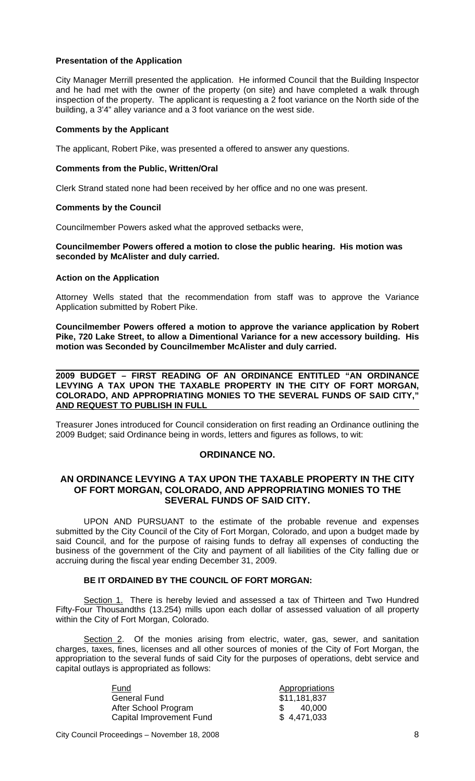### **Presentation of the Application**

City Manager Merrill presented the application. He informed Council that the Building Inspector and he had met with the owner of the property (on site) and have completed a walk through inspection of the property. The applicant is requesting a 2 foot variance on the North side of the building, a 3'4" alley variance and a 3 foot variance on the west side.

#### **Comments by the Applicant**

The applicant, Robert Pike, was presented a offered to answer any questions.

#### **Comments from the Public, Written/Oral**

Clerk Strand stated none had been received by her office and no one was present.

#### **Comments by the Council**

Councilmember Powers asked what the approved setbacks were,

### **Councilmember Powers offered a motion to close the public hearing. His motion was seconded by McAlister and duly carried.**

#### **Action on the Application**

Attorney Wells stated that the recommendation from staff was to approve the Variance Application submitted by Robert Pike.

**Councilmember Powers offered a motion to approve the variance application by Robert Pike, 720 Lake Street, to allow a Dimentional Variance for a new accessory building. His motion was Seconded by Councilmember McAlister and duly carried.** 

 **2009 BUDGET – FIRST READING OF AN ORDINANCE ENTITLED "AN ORDINANCE LEVYING A TAX UPON THE TAXABLE PROPERTY IN THE CITY OF FORT MORGAN, COLORADO, AND APPROPRIATING MONIES TO THE SEVERAL FUNDS OF SAID CITY," AND REQUEST TO PUBLISH IN FULL** 

Treasurer Jones introduced for Council consideration on first reading an Ordinance outlining the 2009 Budget; said Ordinance being in words, letters and figures as follows, to wit:

#### **ORDINANCE NO.**

### **AN ORDINANCE LEVYING A TAX UPON THE TAXABLE PROPERTY IN THE CITY OF FORT MORGAN, COLORADO, AND APPROPRIATING MONIES TO THE SEVERAL FUNDS OF SAID CITY.**

UPON AND PURSUANT to the estimate of the probable revenue and expenses submitted by the City Council of the City of Fort Morgan, Colorado, and upon a budget made by said Council, and for the purpose of raising funds to defray all expenses of conducting the business of the government of the City and payment of all liabilities of the City falling due or accruing during the fiscal year ending December 31, 2009.

### **BE IT ORDAINED BY THE COUNCIL OF FORT MORGAN:**

Section 1. There is hereby levied and assessed a tax of Thirteen and Two Hundred Fifty-Four Thousandths (13.254) mills upon each dollar of assessed valuation of all property within the City of Fort Morgan, Colorado.

Section 2. Of the monies arising from electric, water, gas, sewer, and sanitation charges, taxes, fines, licenses and all other sources of monies of the City of Fort Morgan, the appropriation to the several funds of said City for the purposes of operations, debt service and capital outlays is appropriated as follows:

> Fund Appropriations General Fund After School Program  $$ 40,000$ Capital Improvement Fund \$ 4,471,033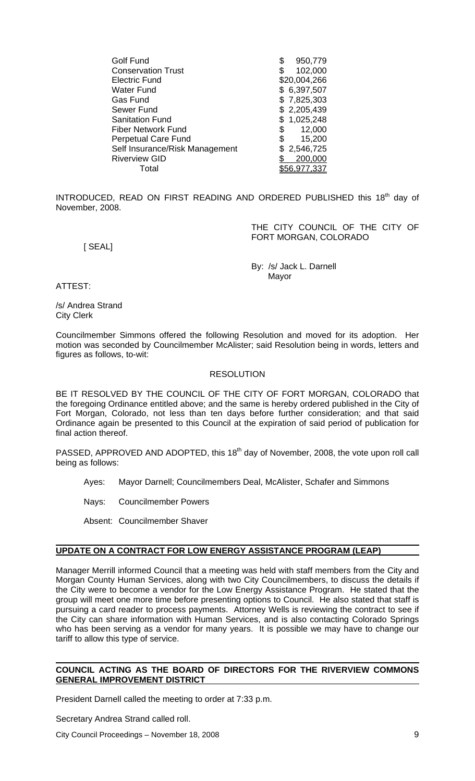| Golf Fund                      | \$<br>950,779 |
|--------------------------------|---------------|
| <b>Conservation Trust</b>      | 102,000<br>S  |
| <b>Electric Fund</b>           | \$20,004,266  |
| Water Fund                     | \$6,397,507   |
| Gas Fund                       | \$7,825,303   |
| Sewer Fund                     | \$2,205,439   |
| <b>Sanitation Fund</b>         | \$1,025,248   |
| <b>Fiber Network Fund</b>      | 12,000<br>\$  |
| <b>Perpetual Care Fund</b>     | 15,200<br>S   |
| Self Insurance/Risk Management | \$2,546,725   |
| <b>Riverview GID</b>           | 200,000       |
| Total                          |               |
|                                |               |

INTRODUCED, READ ON FIRST READING AND ORDERED PUBLISHED this 18<sup>th</sup> day of November, 2008.

> THE CITY COUNCIL OF THE CITY OF FORT MORGAN, COLORADO

[ SEAL]

 By: /s/ Jack L. Darnell Mayor (1999) and the state of the Mayor (1999) and the Mayor

ATTEST:

/s/ Andrea Strand City Clerk

Councilmember Simmons offered the following Resolution and moved for its adoption. Her motion was seconded by Councilmember McAlister; said Resolution being in words, letters and figures as follows, to-wit:

## RESOLUTION

BE IT RESOLVED BY THE COUNCIL OF THE CITY OF FORT MORGAN, COLORADO that the foregoing Ordinance entitled above; and the same is hereby ordered published in the City of Fort Morgan, Colorado, not less than ten days before further consideration; and that said Ordinance again be presented to this Council at the expiration of said period of publication for final action thereof.

PASSED, APPROVED AND ADOPTED, this 18<sup>th</sup> day of November, 2008, the vote upon roll call being as follows:

Ayes: Mayor Darnell; Councilmembers Deal, McAlister, Schafer and Simmons

Nays: Councilmember Powers

Absent: Councilmember Shaver

# **UPDATE ON A CONTRACT FOR LOW ENERGY ASSISTANCE PROGRAM (LEAP)**

Manager Merrill informed Council that a meeting was held with staff members from the City and Morgan County Human Services, along with two City Councilmembers, to discuss the details if the City were to become a vendor for the Low Energy Assistance Program. He stated that the group will meet one more time before presenting options to Council. He also stated that staff is pursuing a card reader to process payments. Attorney Wells is reviewing the contract to see if the City can share information with Human Services, and is also contacting Colorado Springs who has been serving as a vendor for many years. It is possible we may have to change our tariff to allow this type of service.

### **COUNCIL ACTING AS THE BOARD OF DIRECTORS FOR THE RIVERVIEW COMMONS GENERAL IMPROVEMENT DISTRICT**

President Darnell called the meeting to order at 7:33 p.m.

Secretary Andrea Strand called roll.

City Council Proceedings – November 18, 2008 9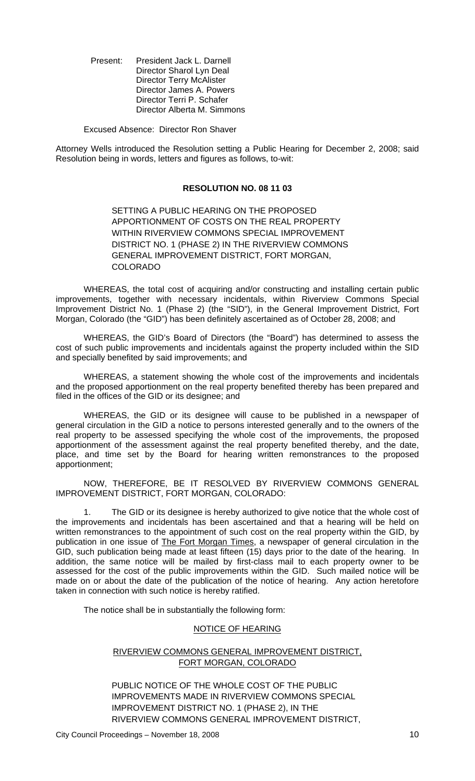Present: President Jack L. Darnell Director Sharol Lyn Deal Director Terry McAlister Director James A. Powers Director Terri P. Schafer Director Alberta M. Simmons

Excused Absence: Director Ron Shaver

Attorney Wells introduced the Resolution setting a Public Hearing for December 2, 2008; said Resolution being in words, letters and figures as follows, to-wit:

### **RESOLUTION NO. 08 11 03**

SETTING A PUBLIC HEARING ON THE PROPOSED APPORTIONMENT OF COSTS ON THE REAL PROPERTY WITHIN RIVERVIEW COMMONS SPECIAL IMPROVEMENT DISTRICT NO. 1 (PHASE 2) IN THE RIVERVIEW COMMONS GENERAL IMPROVEMENT DISTRICT, FORT MORGAN, COLORADO

WHEREAS, the total cost of acquiring and/or constructing and installing certain public improvements, together with necessary incidentals, within Riverview Commons Special Improvement District No. 1 (Phase 2) (the "SID"), in the General Improvement District, Fort Morgan, Colorado (the "GID") has been definitely ascertained as of October 28, 2008; and

WHEREAS, the GID's Board of Directors (the "Board") has determined to assess the cost of such public improvements and incidentals against the property included within the SID and specially benefited by said improvements; and

WHEREAS, a statement showing the whole cost of the improvements and incidentals and the proposed apportionment on the real property benefited thereby has been prepared and filed in the offices of the GID or its designee; and

WHEREAS, the GID or its designee will cause to be published in a newspaper of general circulation in the GID a notice to persons interested generally and to the owners of the real property to be assessed specifying the whole cost of the improvements, the proposed apportionment of the assessment against the real property benefited thereby, and the date, place, and time set by the Board for hearing written remonstrances to the proposed apportionment;

NOW, THEREFORE, BE IT RESOLVED BY RIVERVIEW COMMONS GENERAL IMPROVEMENT DISTRICT, FORT MORGAN, COLORADO:

1. The GID or its designee is hereby authorized to give notice that the whole cost of the improvements and incidentals has been ascertained and that a hearing will be held on written remonstrances to the appointment of such cost on the real property within the GID, by publication in one issue of The Fort Morgan Times, a newspaper of general circulation in the GID, such publication being made at least fifteen (15) days prior to the date of the hearing. In addition, the same notice will be mailed by first-class mail to each property owner to be assessed for the cost of the public improvements within the GID. Such mailed notice will be made on or about the date of the publication of the notice of hearing. Any action heretofore taken in connection with such notice is hereby ratified.

The notice shall be in substantially the following form:

#### NOTICE OF HEARING

## RIVERVIEW COMMONS GENERAL IMPROVEMENT DISTRICT, FORT MORGAN, COLORADO

PUBLIC NOTICE OF THE WHOLE COST OF THE PUBLIC IMPROVEMENTS MADE IN RIVERVIEW COMMONS SPECIAL IMPROVEMENT DISTRICT NO. 1 (PHASE 2), IN THE RIVERVIEW COMMONS GENERAL IMPROVEMENT DISTRICT,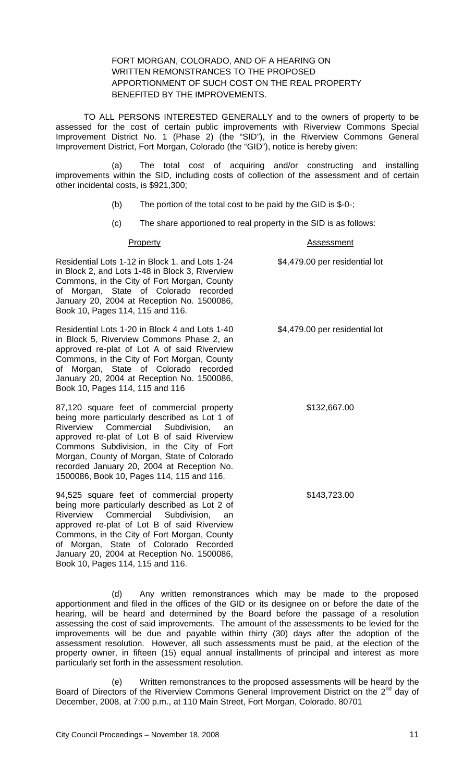### FORT MORGAN, COLORADO, AND OF A HEARING ON WRITTEN REMONSTRANCES TO THE PROPOSED APPORTIONMENT OF SUCH COST ON THE REAL PROPERTY BENEFITED BY THE IMPROVEMENTS.

TO ALL PERSONS INTERESTED GENERALLY and to the owners of property to be assessed for the cost of certain public improvements with Riverview Commons Special Improvement District No. 1 (Phase 2) (the "SID"), in the Riverview Commons General Improvement District, Fort Morgan, Colorado (the "GID"), notice is hereby given:

(a) The total cost of acquiring and/or constructing and installing improvements within the SID, including costs of collection of the assessment and of certain other incidental costs, is \$921,300;

- (b) The portion of the total cost to be paid by the GID is \$-0-;
- (c) The share apportioned to real property in the SID is as follows:

| Property                                                                                                                                                                                                                                                                                                                                                                   | <b>Assessment</b>              |
|----------------------------------------------------------------------------------------------------------------------------------------------------------------------------------------------------------------------------------------------------------------------------------------------------------------------------------------------------------------------------|--------------------------------|
| Residential Lots 1-12 in Block 1, and Lots 1-24<br>in Block 2, and Lots 1-48 in Block 3, Riverview<br>Commons, in the City of Fort Morgan, County<br>of Morgan, State of Colorado recorded<br>January 20, 2004 at Reception No. 1500086,<br>Book 10, Pages 114, 115 and 116.                                                                                               | \$4,479.00 per residential lot |
| Residential Lots 1-20 in Block 4 and Lots 1-40<br>in Block 5, Riverview Commons Phase 2, an<br>approved re-plat of Lot A of said Riverview<br>Commons, in the City of Fort Morgan, County<br>of Morgan, State of Colorado recorded<br>January 20, 2004 at Reception No. 1500086,<br>Book 10, Pages 114, 115 and 116                                                        | \$4,479.00 per residential lot |
| 87,120 square feet of commercial property<br>being more particularly described as Lot 1 of<br>Riverview Commercial Subdivision,<br>an<br>approved re-plat of Lot B of said Riverview<br>Commons Subdivision, in the City of Fort<br>Morgan, County of Morgan, State of Colorado<br>recorded January 20, 2004 at Reception No.<br>1500086, Book 10, Pages 114, 115 and 116. | \$132,667.00                   |
| 94,525 square feet of commercial property<br>being more particularly described as Lot 2 of<br>Riverview<br>Commercial<br>Subdivision,<br>an<br>approved re-plat of Lot B of said Riverview                                                                                                                                                                                 | \$143,723.00                   |

(d) Any written remonstrances which may be made to the proposed apportionment and filed in the offices of the GID or its designee on or before the date of the hearing, will be heard and determined by the Board before the passage of a resolution assessing the cost of said improvements. The amount of the assessments to be levied for the improvements will be due and payable within thirty (30) days after the adoption of the assessment resolution. However, all such assessments must be paid, at the election of the property owner, in fifteen (15) equal annual installments of principal and interest as more particularly set forth in the assessment resolution.

(e) Written remonstrances to the proposed assessments will be heard by the Board of Directors of the Riverview Commons General Improvement District on the 2<sup>nd</sup> day of December, 2008, at 7:00 p.m., at 110 Main Street, Fort Morgan, Colorado, 80701

Commons, in the City of Fort Morgan, County of Morgan, State of Colorado Recorded January 20, 2004 at Reception No. 1500086,

Book 10, Pages 114, 115 and 116.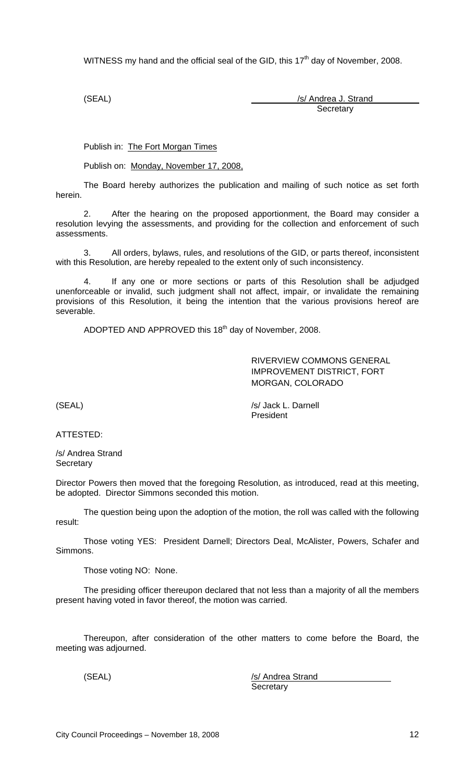WITNESS my hand and the official seal of the GID, this  $17<sup>th</sup>$  day of November, 2008.

(SEAL) /s/ Andrea J. Strand **Secretary** 

Publish in: The Fort Morgan Times

Publish on: Monday, November 17, 2008,

The Board hereby authorizes the publication and mailing of such notice as set forth herein.

2. After the hearing on the proposed apportionment, the Board may consider a resolution levying the assessments, and providing for the collection and enforcement of such assessments.

3. All orders, bylaws, rules, and resolutions of the GID, or parts thereof, inconsistent with this Resolution, are hereby repealed to the extent only of such inconsistency.

4. If any one or more sections or parts of this Resolution shall be adjudged unenforceable or invalid, such judgment shall not affect, impair, or invalidate the remaining provisions of this Resolution, it being the intention that the various provisions hereof are severable.

ADOPTED AND APPROVED this 18<sup>th</sup> day of November, 2008.

RIVERVIEW COMMONS GENERAL IMPROVEMENT DISTRICT, FORT MORGAN, COLORADO

(SEAL) /s/ Jack L. Darnell President

ATTESTED:

/s/ Andrea Strand **Secretary** 

Director Powers then moved that the foregoing Resolution, as introduced, read at this meeting, be adopted. Director Simmons seconded this motion.

The question being upon the adoption of the motion, the roll was called with the following result:

Those voting YES: President Darnell; Directors Deal, McAlister, Powers, Schafer and Simmons.

Those voting NO: None.

The presiding officer thereupon declared that not less than a majority of all the members present having voted in favor thereof, the motion was carried.

Thereupon, after consideration of the other matters to come before the Board, the meeting was adjourned.

(SEAL) /s/ Andrea Strand **Secretary**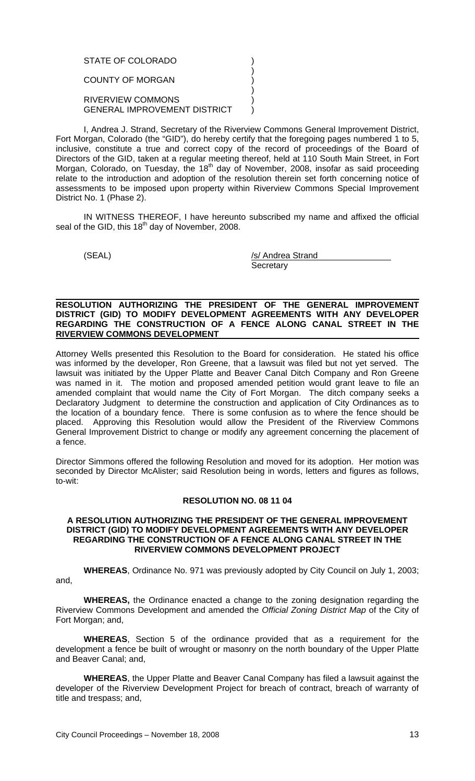#### STATE OF COLORADO (1999)  $)$ COUNTY OF MORGAN (2002)  $)$ RIVERVIEW COMMONS (1999) GENERAL IMPROVEMENT DISTRICT )

I, Andrea J. Strand, Secretary of the Riverview Commons General Improvement District, Fort Morgan, Colorado (the "GID"), do hereby certify that the foregoing pages numbered 1 to 5, inclusive, constitute a true and correct copy of the record of proceedings of the Board of Directors of the GID, taken at a regular meeting thereof, held at 110 South Main Street, in Fort Morgan, Colorado, on Tuesday, the 18<sup>th</sup> day of November, 2008, insofar as said proceeding relate to the introduction and adoption of the resolution therein set forth concerning notice of assessments to be imposed upon property within Riverview Commons Special Improvement District No. 1 (Phase 2).

IN WITNESS THEREOF, I have hereunto subscribed my name and affixed the official seal of the GID, this  $18<sup>th</sup>$  day of November, 2008.

(SEAL) /s/ Andrea Strand **Secretary** 

#### **RESOLUTION AUTHORIZING THE PRESIDENT OF THE GENERAL IMPROVEMENT DISTRICT (GID) TO MODIFY DEVELOPMENT AGREEMENTS WITH ANY DEVELOPER REGARDING THE CONSTRUCTION OF A FENCE ALONG CANAL STREET IN THE RIVERVIEW COMMONS DEVELOPMENT**

Attorney Wells presented this Resolution to the Board for consideration. He stated his office was informed by the developer, Ron Greene, that a lawsuit was filed but not yet served. The lawsuit was initiated by the Upper Platte and Beaver Canal Ditch Company and Ron Greene was named in it. The motion and proposed amended petition would grant leave to file an amended complaint that would name the City of Fort Morgan. The ditch company seeks a Declaratory Judgment to determine the construction and application of City Ordinances as to the location of a boundary fence. There is some confusion as to where the fence should be placed. Approving this Resolution would allow the President of the Riverview Commons General Improvement District to change or modify any agreement concerning the placement of a fence.

Director Simmons offered the following Resolution and moved for its adoption. Her motion was seconded by Director McAlister; said Resolution being in words, letters and figures as follows, to-wit:

## **RESOLUTION NO. 08 11 04**

#### **A RESOLUTION AUTHORIZING THE PRESIDENT OF THE GENERAL IMPROVEMENT DISTRICT (GID) TO MODIFY DEVELOPMENT AGREEMENTS WITH ANY DEVELOPER REGARDING THE CONSTRUCTION OF A FENCE ALONG CANAL STREET IN THE RIVERVIEW COMMONS DEVELOPMENT PROJECT**

**WHEREAS**, Ordinance No. 971 was previously adopted by City Council on July 1, 2003; and,

**WHEREAS,** the Ordinance enacted a change to the zoning designation regarding the Riverview Commons Development and amended the *Official Zoning District Map* of the City of Fort Morgan; and,

**WHEREAS**, Section 5 of the ordinance provided that as a requirement for the development a fence be built of wrought or masonry on the north boundary of the Upper Platte and Beaver Canal; and,

**WHEREAS**, the Upper Platte and Beaver Canal Company has filed a lawsuit against the developer of the Riverview Development Project for breach of contract, breach of warranty of title and trespass; and,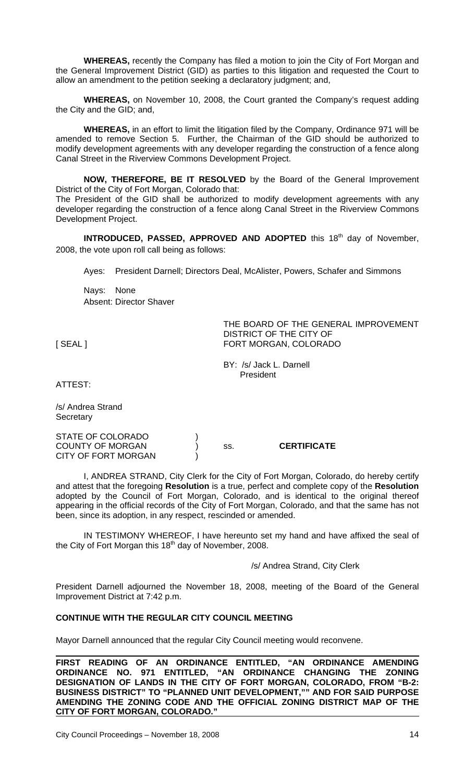**WHEREAS,** recently the Company has filed a motion to join the City of Fort Morgan and the General Improvement District (GID) as parties to this litigation and requested the Court to allow an amendment to the petition seeking a declaratory judgment; and,

**WHEREAS,** on November 10, 2008, the Court granted the Company's request adding the City and the GID; and,

**WHEREAS,** in an effort to limit the litigation filed by the Company, Ordinance 971 will be amended to remove Section 5. Further, the Chairman of the GID should be authorized to modify development agreements with any developer regarding the construction of a fence along Canal Street in the Riverview Commons Development Project.

**NOW, THEREFORE, BE IT RESOLVED** by the Board of the General Improvement District of the City of Fort Morgan, Colorado that: The President of the GID shall be authorized to modify development agreements with any developer regarding the construction of a fence along Canal Street in the Riverview Commons Development Project.

**INTRODUCED, PASSED, APPROVED AND ADOPTED** this 18<sup>th</sup> day of November, 2008, the vote upon roll call being as follows:

Ayes: President Darnell; Directors Deal, McAlister, Powers, Schafer and Simmons

Nays: None Absent: Director Shaver

THE BOARD OF THE GENERAL IMPROVEMENT DISTRICT OF THE CITY OF [SEAL] FORT MORGAN, COLORADO

 BY: /s/ Jack L. Darnell President

ATTEST:

/s/ Andrea Strand **Secretary** 

STATE OF COLORADO ) COUNTY OF MORGAN ) ss. **CERTIFICATE** CITY OF FORT MORGAN

I, ANDREA STRAND, City Clerk for the City of Fort Morgan, Colorado, do hereby certify and attest that the foregoing **Resolution** is a true, perfect and complete copy of the **Resolution** adopted by the Council of Fort Morgan, Colorado, and is identical to the original thereof appearing in the official records of the City of Fort Morgan, Colorado, and that the same has not been, since its adoption, in any respect, rescinded or amended.

IN TESTIMONY WHEREOF, I have hereunto set my hand and have affixed the seal of the City of Fort Morgan this 18<sup>th</sup> day of November, 2008.

## /s/ Andrea Strand, City Clerk

President Darnell adjourned the November 18, 2008, meeting of the Board of the General Improvement District at 7:42 p.m.

## **CONTINUE WITH THE REGULAR CITY COUNCIL MEETING**

Mayor Darnell announced that the regular City Council meeting would reconvene.

**FIRST READING OF AN ORDINANCE ENTITLED, "AN ORDINANCE AMENDING ORDINANCE NO. 971 ENTITLED, "AN ORDINANCE CHANGING THE ZONING DESIGNATION OF LANDS IN THE CITY OF FORT MORGAN, COLORADO, FROM "B-2: BUSINESS DISTRICT" TO "PLANNED UNIT DEVELOPMENT,"" AND FOR SAID PURPOSE AMENDING THE ZONING CODE AND THE OFFICIAL ZONING DISTRICT MAP OF THE CITY OF FORT MORGAN, COLORADO."**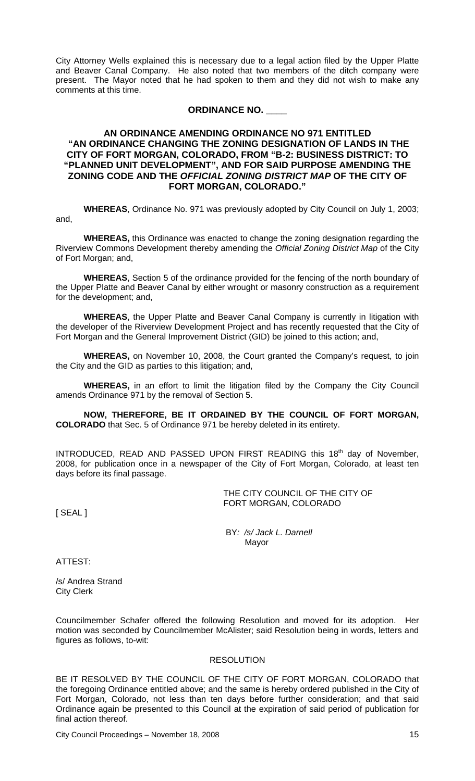City Attorney Wells explained this is necessary due to a legal action filed by the Upper Platte and Beaver Canal Company. He also noted that two members of the ditch company were present. The Mayor noted that he had spoken to them and they did not wish to make any comments at this time.

### **ORDINANCE NO. \_\_\_\_**

## **AN ORDINANCE AMENDING ORDINANCE NO 971 ENTITLED "AN ORDINANCE CHANGING THE ZONING DESIGNATION OF LANDS IN THE CITY OF FORT MORGAN, COLORADO, FROM "B-2: BUSINESS DISTRICT: TO "PLANNED UNIT DEVELOPMENT", AND FOR SAID PURPOSE AMENDING THE ZONING CODE AND THE** *OFFICIAL ZONING DISTRICT MAP* **OF THE CITY OF FORT MORGAN, COLORADO."**

**WHEREAS**, Ordinance No. 971 was previously adopted by City Council on July 1, 2003; and,

**WHEREAS,** this Ordinance was enacted to change the zoning designation regarding the Riverview Commons Development thereby amending the *Official Zoning District Map* of the City of Fort Morgan; and,

**WHEREAS**, Section 5 of the ordinance provided for the fencing of the north boundary of the Upper Platte and Beaver Canal by either wrought or masonry construction as a requirement for the development; and,

**WHEREAS**, the Upper Platte and Beaver Canal Company is currently in litigation with the developer of the Riverview Development Project and has recently requested that the City of Fort Morgan and the General Improvement District (GID) be joined to this action; and,

**WHEREAS,** on November 10, 2008, the Court granted the Company's request, to join the City and the GID as parties to this litigation; and,

**WHEREAS,** in an effort to limit the litigation filed by the Company the City Council amends Ordinance 971 by the removal of Section 5.

**NOW, THEREFORE, BE IT ORDAINED BY THE COUNCIL OF FORT MORGAN, COLORADO** that Sec. 5 of Ordinance 971 be hereby deleted in its entirety.

INTRODUCED, READ AND PASSED UPON FIRST READING this 18<sup>th</sup> day of November, 2008, for publication once in a newspaper of the City of Fort Morgan, Colorado, at least ten days before its final passage.

> THE CITY COUNCIL OF THE CITY OF FORT MORGAN, COLORADO

[ SEAL ]

 BY*: /s/ Jack L. Darnell* Mayor

ATTEST:

/s/ Andrea Strand City Clerk

Councilmember Schafer offered the following Resolution and moved for its adoption. Her motion was seconded by Councilmember McAlister; said Resolution being in words, letters and figures as follows, to-wit:

## **RESOLUTION**

BE IT RESOLVED BY THE COUNCIL OF THE CITY OF FORT MORGAN, COLORADO that the foregoing Ordinance entitled above; and the same is hereby ordered published in the City of Fort Morgan, Colorado, not less than ten days before further consideration; and that said Ordinance again be presented to this Council at the expiration of said period of publication for final action thereof.

City Council Proceedings – November 18, 2008 15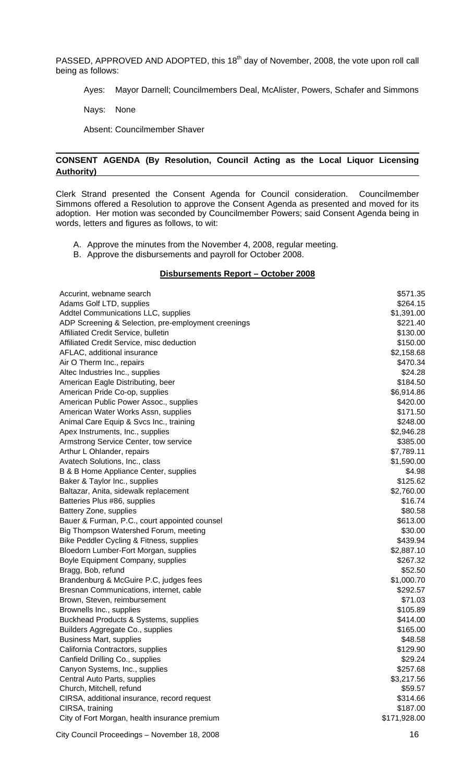PASSED, APPROVED AND ADOPTED, this 18<sup>th</sup> day of November, 2008, the vote upon roll call being as follows:

Ayes: Mayor Darnell; Councilmembers Deal, McAlister, Powers, Schafer and Simmons

Nays: None

Absent: Councilmember Shaver

## **CONSENT AGENDA (By Resolution, Council Acting as the Local Liquor Licensing Authority)**

Clerk Strand presented the Consent Agenda for Council consideration. Councilmember Simmons offered a Resolution to approve the Consent Agenda as presented and moved for its adoption. Her motion was seconded by Councilmember Powers; said Consent Agenda being in words, letters and figures as follows, to wit:

- A. Approve the minutes from the November 4, 2008, regular meeting.
- B. Approve the disbursements and payroll for October 2008.

### **Disbursements Report – October 2008**

| Accurint, webname search                            | \$571.35     |
|-----------------------------------------------------|--------------|
| Adams Golf LTD, supplies                            | \$264.15     |
| Addtel Communications LLC, supplies                 | \$1,391.00   |
| ADP Screening & Selection, pre-employment creenings | \$221.40     |
| Affiliated Credit Service, bulletin                 | \$130.00     |
| Affiliated Credit Service, misc deduction           | \$150.00     |
| AFLAC, additional insurance                         | \$2,158.68   |
| Air O Therm Inc., repairs                           | \$470.34     |
| Altec Industries Inc., supplies                     | \$24.28      |
| American Eagle Distributing, beer                   | \$184.50     |
| American Pride Co-op, supplies                      | \$6,914.86   |
| American Public Power Assoc., supplies              | \$420.00     |
| American Water Works Assn, supplies                 | \$171.50     |
| Animal Care Equip & Svcs Inc., training             | \$248.00     |
| Apex Instruments, Inc., supplies                    | \$2,946.28   |
| Armstrong Service Center, tow service               | \$385.00     |
| Arthur L Ohlander, repairs                          | \$7,789.11   |
| Avatech Solutions, Inc., class                      | \$1,590.00   |
| B & B Home Appliance Center, supplies               | \$4.98       |
| Baker & Taylor Inc., supplies                       | \$125.62     |
| Baltazar, Anita, sidewalk replacement               | \$2,760.00   |
| Batteries Plus #86, supplies                        | \$16.74      |
| Battery Zone, supplies                              | \$80.58      |
| Bauer & Furman, P.C., court appointed counsel       | \$613.00     |
| Big Thompson Watershed Forum, meeting               | \$30.00      |
| Bike Peddler Cycling & Fitness, supplies            | \$439.94     |
| Bloedorn Lumber-Fort Morgan, supplies               | \$2,887.10   |
| Boyle Equipment Company, supplies                   | \$267.32     |
| Bragg, Bob, refund                                  | \$52.50      |
| Brandenburg & McGuire P.C, judges fees              | \$1,000.70   |
| Bresnan Communications, internet, cable             | \$292.57     |
| Brown, Steven, reimbursement                        | \$71.03      |
|                                                     | \$105.89     |
| Brownells Inc., supplies                            |              |
| Buckhead Products & Systems, supplies               | \$414.00     |
| Builders Aggregate Co., supplies                    | \$165.00     |
| <b>Business Mart, supplies</b>                      | \$48.58      |
| California Contractors, supplies                    | \$129.90     |
| Canfield Drilling Co., supplies                     | \$29.24      |
| Canyon Systems, Inc., supplies                      | \$257.68     |
| Central Auto Parts, supplies                        | \$3,217.56   |
| Church, Mitchell, refund                            | \$59.57      |
| CIRSA, additional insurance, record request         | \$314.66     |
| CIRSA, training                                     | \$187.00     |
| City of Fort Morgan, health insurance premium       | \$171,928.00 |
|                                                     |              |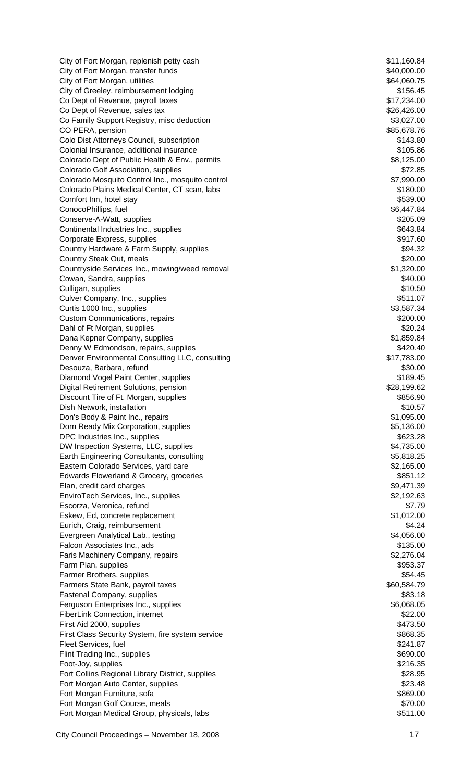City of Fort Morgan, replenish petty cash  $$11,160.84$ City of Fort Morgan, transfer funds  $$40,000.00$ City of Fort Morgan, utilities  $$64,060.75$ City of Greeley, reimbursement lodging  $$156.45$ Co Dept of Revenue, payroll taxes  $$17,234.00$ Co Dept of Revenue, sales tax  $$26,426.00$ Co Family Support Registry, misc deduction  $$3,027.00$ CO PERA, pension  $$85,678.76$ Colo Dist Attorneys Council, subscription  $$143.80$ Colonial Insurance, additional insurance  $$105.86$ Colorado Dept of Public Health & Env., permits \$8,125.00 Colorado Golf Association, supplies  $$72.85$ Colorado Mosquito Control Inc., mosquito control \$7,990.00 Colorado Plains Medical Center, CT scan, labs \$180.00 Comfort Inn, hotel stay  $$539.00$ ConocoPhillips, fuel \$6,447.84 Conserve-A-Watt, supplies  $$205.09$ Continental Industries Inc., supplies  $$643.84$ Corporate Express, supplies  $$917.60$ Country Hardware & Farm Supply, supplies  $$94.32$ Country Steak Out, meals **\$20.00** Country Steak Out, meals Countryside Services Inc., mowing/weed removal **\$1,320.00** \$1,320.00 Cowan, Sandra, supplies  $$40.00$ Culligan, supplies \$10.50 Culver Company, Inc., supplies  $$511.07$ Curtis 1000 Inc., supplies \$3,587.34 Custom Communications, repairs \$200.00 Dahl of Ft Morgan, supplies  $$20.24$ Dana Kepner Company, supplies  $$1,859.84$ Denny W Edmondson, repairs, supplies  $$420.40$ Denver Environmental Consulting LLC, consulting  $$17,783.00$ Desouza, Barbara, refund \$30.00 Diamond Vogel Paint Center, supplies  $$189.45$ Digital Retirement Solutions, pension \$28,199.62 Discount Tire of Ft. Morgan, supplies  $$856.90$ Dish Network, installation \$10.57 Don's Body & Paint Inc., repairs \$1,095.00 Dorn Ready Mix Corporation, supplies  $$5,136.00$ DPC Industries Inc., supplies  $$623.28$ DW Inspection Systems, LLC, supplies  $$4,735.00$ Earth Engineering Consultants, consulting  $$5,818.25$ Eastern Colorado Services, yard care  $$2,165.00$ Edwards Flowerland & Grocery, groceries **\$851.12** and \$851.12 Elan, credit card charges  $$9,471.39$ EnviroTech Services, Inc., supplies  $$2,192.63$ Escorza, Veronica, refund \$7.79 Eskew, Ed, concrete replacement \$1,012.00 Eurich, Craig, reimbursement  $$4.24$ Evergreen Analytical Lab., testing  $$4,056.00$ Falcon Associates Inc., ads \$135.00 Faris Machinery Company, repairs  $$2,276.04$ Farm Plan, supplies  $$953.37$ Farmer Brothers, supplies  $$54.45$ Farmers State Bank, payroll taxes  $$60,584.79$ Fastenal Company, supplies  $$83.18$ Ferguson Enterprises Inc., supplies  $$6,068.05$ FiberLink Connection, internet  $$22.00$ First Aid 2000, supplies  $$473.50$ First Class Security System, fire system service  $$868.35$ Fleet Services, fuel **\$241.87**  $\frac{1}{2}$ Flint Trading Inc., supplies  $$690.00$ Foot-Joy, supplies  $$216.35$ Fort Collins Regional Library District, supplies  $$28.95$ Fort Morgan Auto Center, supplies  $$23.48$ Fort Morgan Furniture, sofa  $$869.00$ Fort Morgan Golf Course, meals **\$70.00** Structure and the structure of the structure of the structure of the structure of the structure of the structure of the structure of the structure of the structure of the structure o Fort Morgan Medical Group, physicals, labs  $$511.00$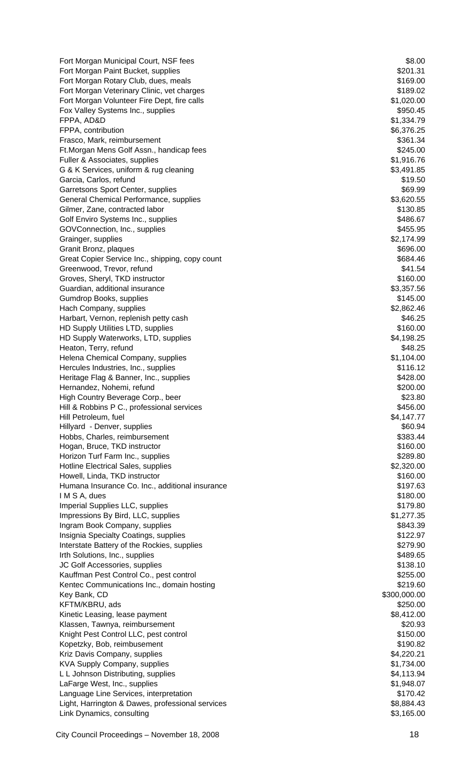Fort Morgan Municipal Court, NSF fees \$8.00 Fort Morgan Paint Bucket, supplies \$201.31 Fort Morgan Rotary Club, dues, meals **\$169.00 State Accounts** \$169.00 Fort Morgan Veterinary Clinic, vet charges  $$189.02$ Fort Morgan Volunteer Fire Dept, fire calls \$1,020.00 Fox Valley Systems Inc., supplies  $$950.45$ FPPA, AD&D \$1,334.79 FPPA, contribution  $$6,376.25$ Frasco, Mark, reimbursement  $$361.34$ Ft.Morgan Mens Golf Assn., handicap fees **\$245.00 \$245.00** Fuller & Associates, supplies  $$1,916.76$ G & K Services, uniform & rug cleaning  $$3,491.85$ Garcia, Carlos, refund \$19.50 Garretsons Sport Center, supplies  $$69.99$ General Chemical Performance, supplies  $$3,620.55$ Gilmer, Zane, contracted labor \$130.85 Golf Enviro Systems Inc., supplies  $$486.67$ GOVConnection, Inc., supplies  $$455.95$ Grainger, supplies  $$2,174.99$ Granit Bronz, plaques  $$696.00$ Great Copier Service Inc., shipping, copy count \$684.46 Greenwood, Trevor, refund  $$41.54$ Groves, Sheryl, TKD instructor  $$160.00$ Guardian, additional insurance **by the set of the set of the set of the set of the set of the set of the set of t** Gumdrop Books, supplies  $$145.00$ Hach Company, supplies  $$2,862.46$ Harbart, Vernon, replenish petty cash \$46.25 HD Supply Utilities LTD, supplies  $$160.00$ HD Supply Waterworks, LTD, supplies  $$4,198.25$ Heaton, Terry, refund  $$48.25$ Helena Chemical Company, supplies  $$1,104.00$ Hercules Industries, Inc., supplies  $$116.12$ Heritage Flag & Banner, Inc., supplies  $$428.00$ Hernandez, Nohemi, refund **\$200.00** and \$200.00 and \$200.00 and \$200.00 billion and \$200.00 compared \$200.00 compared \$200.00 compared \$200.00 compared \$200.00 compared \$200.00 compared \$200.00 compared \$200.00 compared \$2 High Country Beverage Corp., beer \$23.80 Hill & Robbins P C., professional services  $$456.00$ Hill Petroleum, fuel **\$4,147.77** (\$4,147.77) Hillyard - Denver, supplies  $$60.94$ Hobbs, Charles, reimbursement \$383.44 Hogan, Bruce, TKD instructor  $$160.00$ Horizon Turf Farm Inc., supplies  $$289.80$ Hotline Electrical Sales, supplies  $$2,320.00$ Howell, Linda, TKD instructor  $$160.00$ Humana Insurance Co. Inc., additional insurance  $$197.63$ **IM S A, dues** \$180.00 Imperial Supplies LLC, supplies  $\blacktriangleright$  179.80 Impressions By Bird, LLC, supplies  $$1,277.35$ Ingram Book Company, supplies  $$843.39$ Insignia Specialty Coatings, supplies  $$122.97$ Interstate Battery of the Rockies, supplies  $$279.90$ Irth Solutions, Inc., supplies  $$489.65$ JC Golf Accessories, supplies  $$138.10$ Kauffman Pest Control Co., pest control  $\sim$  \$255.00 Kentec Communications Inc., domain hosting  $$219.60$ Key Bank, CD \$300,000.00 KFTM/KBRU, ads \$250.00 Kinetic Leasing, lease payment  $$8,412.00$ Klassen, Tawnya, reimbursement \$20.93 and \$20.93 Knight Pest Control LLC, pest control  $$150.00$ Kopetzky, Bob, reimbusement  $$190.82$ Kriz Davis Company, supplies  $$4,220.21$ KVA Supply Company, supplies  $$1,734.00$ L L Johnson Distributing, supplies  $$4,113.94$ LaFarge West, Inc., supplies  $$1,948.07$ Language Line Services, interpretation **\$170.42** Light, Harrington & Dawes, professional services  $$8,884.43$ Link Dynamics, consulting  $$3,165.00$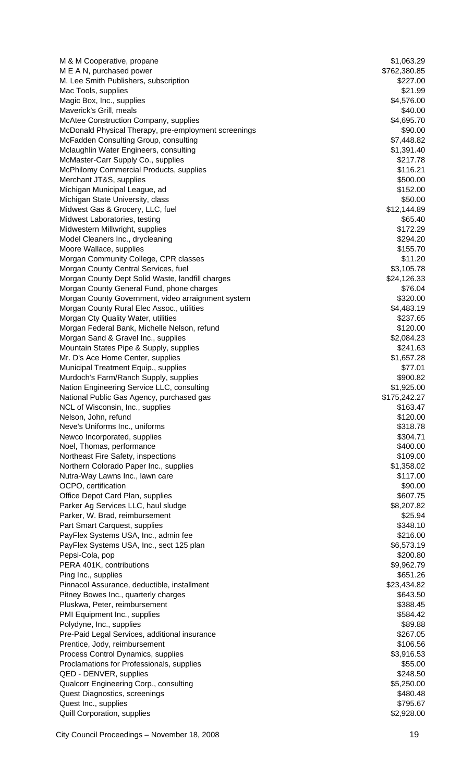| M & M Cooperative, propane                                                       | \$1,063.29               |
|----------------------------------------------------------------------------------|--------------------------|
| M E A N, purchased power                                                         | \$762,380.85             |
| M. Lee Smith Publishers, subscription                                            | \$227.00                 |
| Mac Tools, supplies                                                              | \$21.99                  |
| Magic Box, Inc., supplies                                                        | \$4,576.00               |
| Maverick's Grill, meals                                                          | \$40.00                  |
| <b>McAtee Construction Company, supplies</b>                                     | \$4,695.70               |
| McDonald Physical Therapy, pre-employment screenings                             | \$90.00                  |
| McFadden Consulting Group, consulting<br>Mclaughlin Water Engineers, consulting  | \$7,448.82<br>\$1,391.40 |
| McMaster-Carr Supply Co., supplies                                               | \$217.78                 |
| <b>McPhilomy Commercial Products, supplies</b>                                   | \$116.21                 |
| Merchant JT&S, supplies                                                          | \$500.00                 |
| Michigan Municipal League, ad                                                    | \$152.00                 |
| Michigan State University, class                                                 | \$50.00                  |
| Midwest Gas & Grocery, LLC, fuel                                                 | \$12,144.89              |
| Midwest Laboratories, testing                                                    | \$65.40                  |
| Midwestern Millwright, supplies                                                  | \$172.29                 |
| Model Cleaners Inc., drycleaning                                                 | \$294.20                 |
| Moore Wallace, supplies                                                          | \$155.70                 |
| Morgan Community College, CPR classes                                            | \$11.20                  |
| Morgan County Central Services, fuel                                             | \$3,105.78               |
| Morgan County Dept Solid Waste, landfill charges                                 | \$24,126.33              |
| Morgan County General Fund, phone charges                                        | \$76.04                  |
| Morgan County Government, video arraignment system                               | \$320.00                 |
| Morgan County Rural Elec Assoc., utilities                                       | \$4,483.19               |
| Morgan Cty Quality Water, utilities                                              | \$237.65                 |
| Morgan Federal Bank, Michelle Nelson, refund                                     | \$120.00                 |
| Morgan Sand & Gravel Inc., supplies                                              | \$2,084.23               |
| Mountain States Pipe & Supply, supplies<br>Mr. D's Ace Home Center, supplies     | \$241.63<br>\$1,657.28   |
| Municipal Treatment Equip., supplies                                             | \$77.01                  |
| Murdoch's Farm/Ranch Supply, supplies                                            | \$900.82                 |
| Nation Engineering Service LLC, consulting                                       | \$1,925.00               |
| National Public Gas Agency, purchased gas                                        | \$175,242.27             |
| NCL of Wisconsin, Inc., supplies                                                 | \$163.47                 |
| Nelson, John, refund                                                             | \$120.00                 |
| Neve's Uniforms Inc., uniforms                                                   | \$318.78                 |
| Newco Incorporated, supplies                                                     | \$304.71                 |
| Noel, Thomas, performance                                                        | \$400.00                 |
| Northeast Fire Safety, inspections                                               | \$109.00                 |
| Northern Colorado Paper Inc., supplies                                           | \$1,358.02               |
| Nutra-Way Lawns Inc., lawn care                                                  | \$117.00                 |
| OCPO, certification                                                              | \$90.00                  |
| Office Depot Card Plan, supplies                                                 | \$607.75                 |
| Parker Ag Services LLC, haul sludge                                              | \$8,207.82               |
| Parker, W. Brad, reimbursement                                                   | \$25.94                  |
| Part Smart Carquest, supplies                                                    | \$348.10                 |
| PayFlex Systems USA, Inc., admin fee<br>PayFlex Systems USA, Inc., sect 125 plan | \$216.00<br>\$6,573.19   |
| Pepsi-Cola, pop                                                                  | \$200.80                 |
| PERA 401K, contributions                                                         | \$9,962.79               |
| Ping Inc., supplies                                                              | \$651.26                 |
| Pinnacol Assurance, deductible, installment                                      | \$23,434.82              |
| Pitney Bowes Inc., quarterly charges                                             | \$643.50                 |
| Pluskwa, Peter, reimbursement                                                    | \$388.45                 |
| PMI Equipment Inc., supplies                                                     | \$584.42                 |
| Polydyne, Inc., supplies                                                         | \$89.88                  |
| Pre-Paid Legal Services, additional insurance                                    | \$267.05                 |
| Prentice, Jody, reimbursement                                                    | \$106.56                 |
| Process Control Dynamics, supplies                                               | \$3,916.53               |
| Proclamations for Professionals, supplies                                        | \$55.00                  |
| QED - DENVER, supplies                                                           | \$248.50                 |
| Qualcorr Engineering Corp., consulting                                           |                          |
|                                                                                  | \$5,250.00               |
| Quest Diagnostics, screenings                                                    | \$480.48                 |
| Quest Inc., supplies<br>Quill Corporation, supplies                              | \$795.67<br>\$2,928.00   |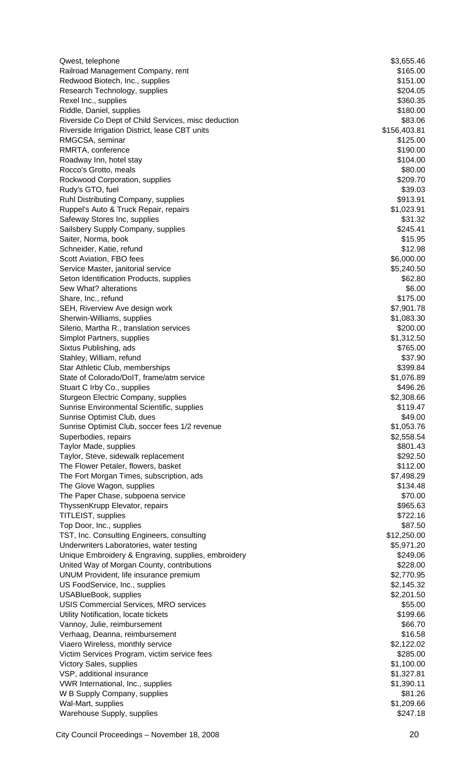| Qwest, telephone                                                         | \$3,655.46             |
|--------------------------------------------------------------------------|------------------------|
| Railroad Management Company, rent                                        | \$165.00               |
| Redwood Biotech, Inc., supplies                                          | \$151.00               |
| Research Technology, supplies                                            | \$204.05               |
| Rexel Inc., supplies<br>Riddle, Daniel, supplies                         | \$360.35<br>\$180.00   |
| Riverside Co Dept of Child Services, misc deduction                      | \$83.06                |
| Riverside Irrigation District, lease CBT units                           | \$156,403.81           |
| RMGCSA, seminar                                                          | \$125.00               |
| RMRTA, conference                                                        | \$190.00               |
| Roadway Inn, hotel stay                                                  | \$104.00               |
| Rocco's Grotto, meals                                                    | \$80.00                |
| Rockwood Corporation, supplies                                           | \$209.70               |
| Rudy's GTO, fuel                                                         | \$39.03                |
| Ruhl Distributing Company, supplies                                      | \$913.91               |
| Ruppel's Auto & Truck Repair, repairs                                    | \$1,023.91             |
| Safeway Stores Inc, supplies                                             | \$31.32                |
| Sailsbery Supply Company, supplies                                       | \$245.41               |
| Saiter, Norma, book<br>Schneider, Katie, refund                          | \$15.95<br>\$12.98     |
| Scott Aviation, FBO fees                                                 | \$6,000.00             |
| Service Master, janitorial service                                       | \$5,240.50             |
| Seton Identification Products, supplies                                  | \$62.80                |
| Sew What? alterations                                                    | \$6.00                 |
| Share, Inc., refund                                                      | \$175.00               |
| SEH, Riverview Ave design work                                           | \$7,901.78             |
| Sherwin-Williams, supplies                                               | \$1,083.30             |
| Silerio, Martha R., translation services                                 | \$200.00               |
| Simplot Partners, supplies                                               | \$1,312.50             |
| Sixtus Publishing, ads                                                   | \$765.00               |
| Stahley, William, refund                                                 | \$37.90                |
| Star Athletic Club, memberships                                          | \$399.84               |
| State of Colorado/DoIT, frame/atm service<br>Stuart C Irby Co., supplies | \$1,076.89<br>\$496.26 |
| Sturgeon Electric Company, supplies                                      | \$2,308.66             |
| Sunrise Environmental Scientific, supplies                               | \$119.47               |
| Sunrise Optimist Club, dues                                              | \$49.00                |
| Sunrise Optimist Club, soccer fees 1/2 revenue                           | \$1,053.76             |
| Superbodies, repairs                                                     | \$2,558.54             |
| Taylor Made, supplies                                                    | \$801.43               |
| Taylor, Steve, sidewalk replacement                                      | \$292.50               |
| The Flower Petaler, flowers, basket                                      | \$112.00               |
| The Fort Morgan Times, subscription, ads                                 | \$7,498.29             |
| The Glove Wagon, supplies                                                | \$134.48               |
| The Paper Chase, subpoena service                                        | \$70.00                |
| ThyssenKrupp Elevator, repairs<br>TITLEIST, supplies                     | \$965.63<br>\$722.16   |
| Top Door, Inc., supplies                                                 | \$87.50                |
| TST, Inc. Consulting Engineers, consulting                               | \$12,250.00            |
| Underwriters Laboratories, water testing                                 | \$5,971.20             |
| Unique Embroidery & Engraving, supplies, embroidery                      | \$249.06               |
| United Way of Morgan County, contributions                               | \$228.00               |
| UNUM Provident, life insurance premium                                   | \$2,770.95             |
| US FoodService, Inc., supplies                                           | \$2,145.32             |
| <b>USABlueBook, supplies</b>                                             | \$2,201.50             |
| <b>USIS Commercial Services, MRO services</b>                            | \$55.00                |
| Utility Notification, locate tickets                                     | \$199.66               |
| Vannoy, Julie, reimbursement                                             | \$66.70                |
| Verhaag, Deanna, reimbursement                                           | \$16.58                |
| Viaero Wireless, monthly service                                         | \$2,122.02<br>\$285.00 |
| Victim Services Program, victim service fees<br>Victory Sales, supplies  | \$1,100.00             |
| VSP, additional insurance                                                | \$1,327.81             |
| VWR International, Inc., supplies                                        | \$1,390.11             |
| W B Supply Company, supplies                                             | \$81.26                |
| Wal-Mart, supplies                                                       | \$1,209.66             |
| Warehouse Supply, supplies                                               | \$247.18               |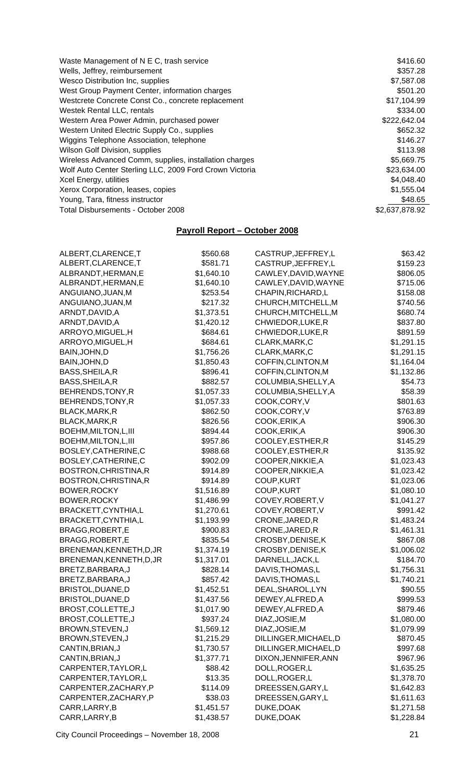| Waste Management of N E C, trash service                | \$416.60       |
|---------------------------------------------------------|----------------|
| Wells, Jeffrey, reimbursement                           | \$357.28       |
| Wesco Distribution Inc, supplies                        | \$7,587.08     |
| West Group Payment Center, information charges          | \$501.20       |
| Westcrete Concrete Const Co., concrete replacement      | \$17,104.99    |
| Westek Rental LLC, rentals                              | \$334.00       |
| Western Area Power Admin, purchased power               | \$222,642.04   |
| Western United Electric Supply Co., supplies            | \$652.32       |
| Wiggins Telephone Association, telephone                | \$146.27       |
| Wilson Golf Division, supplies                          | \$113.98       |
| Wireless Advanced Comm, supplies, installation charges  | \$5,669.75     |
| Wolf Auto Center Sterling LLC, 2009 Ford Crown Victoria | \$23,634.00    |
| Xcel Energy, utilities                                  | \$4,048.40     |
| Xerox Corporation, leases, copies                       | \$1,555.04     |
| Young, Tara, fitness instructor                         | \$48.65        |
| Total Disbursements - October 2008                      | \$2,637,878.92 |

# **Payroll Report – October 2008**

| ALBERT, CLARENCE, T      | \$560.68   | CASTRUP, JEFFREY, L   | \$63.42    |
|--------------------------|------------|-----------------------|------------|
| ALBERT, CLARENCE, T      | \$581.71   | CASTRUP, JEFFREY, L   | \$159.23   |
| ALBRANDT, HERMAN, E      | \$1,640.10 | CAWLEY, DAVID, WAYNE  | \$806.05   |
| ALBRANDT, HERMAN, E      | \$1,640.10 | CAWLEY, DAVID, WAYNE  | \$715.06   |
| ANGUIANO, JUAN, M        | \$253.54   | CHAPIN, RICHARD, L    | \$158.08   |
| ANGUIANO, JUAN, M        | \$217.32   | CHURCH, MITCHELL, M   | \$740.56   |
| ARNDT, DAVID, A          | \$1,373.51 | CHURCH, MITCHELL, M   | \$680.74   |
| ARNDT, DAVID, A          | \$1,420.12 | CHWIEDOR, LUKE, R     | \$837.80   |
| ARROYO, MIGUEL, H        | \$684.61   | CHWIEDOR, LUKE, R     | \$891.59   |
| ARROYO, MIGUEL, H        | \$684.61   | CLARK, MARK, C        | \$1,291.15 |
| BAIN, JOHN, D            | \$1,756.26 | CLARK, MARK, C        | \$1,291.15 |
| BAIN, JOHN, D            | \$1,850.43 | COFFIN, CLINTON, M    | \$1,164.04 |
| BASS, SHEILA, R          | \$896.41   | COFFIN, CLINTON, M    | \$1,132.86 |
| BASS, SHEILA, R          | \$882.57   | COLUMBIA, SHELLY, A   | \$54.73    |
| BEHRENDS, TONY, R        | \$1,057.33 | COLUMBIA, SHELLY, A   | \$58.39    |
| BEHRENDS, TONY, R        | \$1,057.33 | COOK,CORY,V           | \$801.63   |
| BLACK, MARK, R           | \$862.50   | COOK,CORY, V          | \$763.89   |
| BLACK, MARK, R           | \$826.56   | COOK, ERIK, A         | \$906.30   |
| BOEHM, MILTON, L, III    | \$894.44   | COOK, ERIK, A         | \$906.30   |
| BOEHM, MILTON, L, III    | \$957.86   | COOLEY, ESTHER, R     | \$145.29   |
| BOSLEY, CATHERINE, C     | \$988.68   | COOLEY, ESTHER, R     | \$135.92   |
| BOSLEY, CATHERINE, C     | \$902.09   | COOPER, NIKKIE, A     | \$1,023.43 |
| BOSTRON, CHRISTINA, R    | \$914.89   | COOPER, NIKKIE, A     | \$1,023.42 |
| BOSTRON, CHRISTINA, R    | \$914.89   | <b>COUP, KURT</b>     | \$1,023.06 |
| BOWER, ROCKY             | \$1,516.89 | <b>COUP, KURT</b>     | \$1,080.10 |
| BOWER, ROCKY             | \$1,486.99 | COVEY, ROBERT, V      | \$1,041.27 |
| BRACKETT, CYNTHIA, L     | \$1,270.61 | COVEY, ROBERT, V      | \$991.42   |
| BRACKETT, CYNTHIA, L     | \$1,193.99 | CRONE, JARED, R       | \$1,483.24 |
| BRAGG, ROBERT, E         | \$900.83   | CRONE, JARED, R       | \$1,461.31 |
| BRAGG, ROBERT, E         | \$835.54   | CROSBY, DENISE, K     | \$867.08   |
| BRENEMAN, KENNETH, D, JR | \$1,374.19 | CROSBY, DENISE, K     | \$1,006.02 |
| BRENEMAN, KENNETH, D, JR | \$1,317.01 | DARNELL, JACK, L      | \$184.70   |
| BRETZ, BARBARA, J        | \$828.14   | DAVIS, THOMAS, L      | \$1,756.31 |
| BRETZ, BARBARA, J        | \$857.42   | DAVIS, THOMAS, L      | \$1,740.21 |
| BRISTOL, DUANE, D        | \$1,452.51 | DEAL, SHAROL, LYN     | \$90.55    |
| BRISTOL, DUANE, D        | \$1,437.56 | DEWEY, ALFRED, A      | \$999.53   |
| BROST, COLLETTE, J       | \$1,017.90 | DEWEY, ALFRED, A      | \$879.46   |
| BROST, COLLETTE, J       | \$937.24   | DIAZ, JOSIE, M        | \$1,080.00 |
| BROWN, STEVEN, J         | \$1,569.12 | DIAZ, JOSIE, M        | \$1,079.99 |
| BROWN, STEVEN, J         | \$1,215.29 | DILLINGER, MICHAEL, D | \$870.45   |
| CANTIN, BRIAN, J         | \$1,730.57 | DILLINGER, MICHAEL, D | \$997.68   |
| CANTIN, BRIAN, J         | \$1,377.71 | DIXON, JENNIFER, ANN  | \$967.96   |
| CARPENTER, TAYLOR, L     | \$88.42    | DOLL, ROGER, L        | \$1,635.25 |
| CARPENTER, TAYLOR, L     | \$13.35    | DOLL, ROGER, L        | \$1,378.70 |
| CARPENTER, ZACHARY, P    | \$114.09   | DREESSEN, GARY, L     | \$1,642.83 |
| CARPENTER, ZACHARY, P    | \$38.03    | DREESSEN, GARY, L     | \$1,611.63 |
| CARR, LARRY, B           | \$1,451.57 | DUKE, DOAK            | \$1,271.58 |
| CARR, LARRY, B           | \$1,438.57 | DUKE, DOAK            | \$1,228.84 |

City Council Proceedings – November 18, 2008 21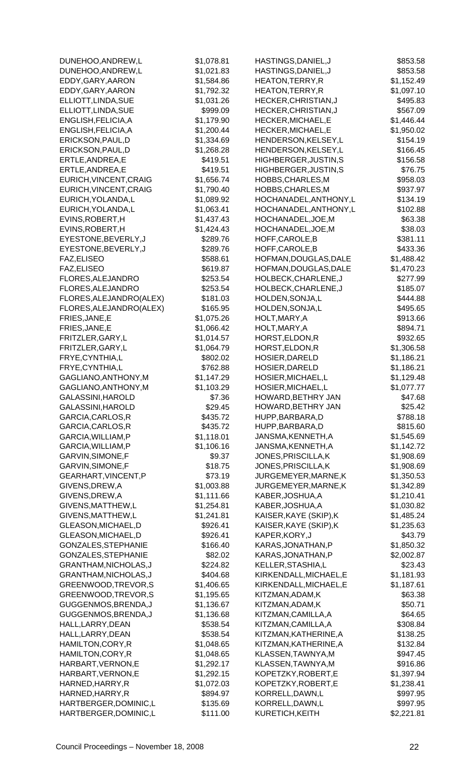| DUNEHOO, ANDREW, L      | \$1,078.81 | HASTINGS, DANIEL, J    | \$853.58   |
|-------------------------|------------|------------------------|------------|
| DUNEHOO, ANDREW, L      | \$1,021.83 | HASTINGS, DANIEL, J    | \$853.58   |
| EDDY, GARY, AARON       | \$1,584.86 | HEATON, TERRY, R       | \$1,152.49 |
| EDDY, GARY, AARON       | \$1,792.32 | HEATON, TERRY, R       | \$1,097.10 |
| ELLIOTT, LINDA, SUE     | \$1,031.26 | HECKER, CHRISTIAN, J   | \$495.83   |
| ELLIOTT, LINDA, SUE     | \$999.09   | HECKER, CHRISTIAN, J   | \$567.09   |
| ENGLISH, FELICIA, A     | \$1,179.90 | HECKER, MICHAEL, E     | \$1,446.44 |
| ENGLISH, FELICIA, A     | \$1,200.44 | HECKER, MICHAEL, E     | \$1,950.02 |
| ERICKSON, PAUL, D       | \$1,334.69 | HENDERSON, KELSEY, L   | \$154.19   |
| ERICKSON, PAUL, D       | \$1,268.28 | HENDERSON, KELSEY, L   | \$166.45   |
| ERTLE, ANDREA, E        | \$419.51   | HIGHBERGER, JUSTIN, S  | \$156.58   |
| ERTLE, ANDREA, E        | \$419.51   | HIGHBERGER, JUSTIN, S  | \$76.75    |
| EURICH, VINCENT, CRAIG  | \$1,656.74 | HOBBS, CHARLES, M      | \$958.03   |
| EURICH, VINCENT, CRAIG  | \$1,790.40 | HOBBS, CHARLES, M      | \$937.97   |
| EURICH, YOLANDA, L      | \$1,089.92 | HOCHANADEL, ANTHONY, L | \$134.19   |
| EURICH, YOLANDA, L      | \$1,063.41 | HOCHANADEL, ANTHONY, L | \$102.88   |
| EVINS, ROBERT, H        | \$1,437.43 | HOCHANADEL, JOE, M     | \$63.38    |
| EVINS, ROBERT, H        | \$1,424.43 | HOCHANADEL, JOE, M     | \$38.03    |
| EYESTONE, BEVERLY, J    | \$289.76   | HOFF, CAROLE, B        | \$381.11   |
| EYESTONE, BEVERLY, J    | \$289.76   | HOFF, CAROLE, B        | \$433.36   |
| FAZ, ELISEO             | \$588.61   | HOFMAN, DOUGLAS, DALE  | \$1,488.42 |
| FAZ, ELISEO             | \$619.87   | HOFMAN, DOUGLAS, DALE  | \$1,470.23 |
| FLORES, ALEJANDRO       | \$253.54   | HOLBECK, CHARLENE, J   | \$277.99   |
| FLORES, ALEJANDRO       | \$253.54   | HOLBECK, CHARLENE, J   | \$185.07   |
|                         |            |                        |            |
| FLORES, ALEJANDRO(ALEX) | \$181.03   | HOLDEN, SONJA, L       | \$444.88   |
| FLORES, ALEJANDRO(ALEX) | \$165.95   | HOLDEN, SONJA, L       | \$495.65   |
| FRIES, JANE, E          | \$1,075.26 | HOLT, MARY, A          | \$913.66   |
| FRIES, JANE, E          | \$1,066.42 | HOLT, MARY, A          | \$894.71   |
| FRITZLER, GARY, L       | \$1,014.57 | HORST, ELDON, R        | \$932.65   |
| FRITZLER, GARY, L       | \$1,064.79 | HORST, ELDON, R        | \$1,306.58 |
| FRYE, CYNTHIA, L        | \$802.02   | HOSIER, DARELD         | \$1,186.21 |
| FRYE, CYNTHIA, L        | \$762.88   | HOSIER, DARELD         | \$1,186.21 |
| GAGLIANO, ANTHONY, M    | \$1,147.29 | HOSIER, MICHAEL, L     | \$1,129.48 |
| GAGLIANO, ANTHONY, M    | \$1,103.29 | HOSIER, MICHAEL, L     | \$1,077.77 |
| GALASSINI, HAROLD       | \$7.36     | HOWARD, BETHRY JAN     | \$47.68    |
| GALASSINI, HAROLD       | \$29.45    | HOWARD,BETHRY JAN      | \$25.42    |
| GARCIA, CARLOS, R       | \$435.72   | HUPP, BARBARA, D       | \$788.18   |
| GARCIA, CARLOS, R       | \$435.72   | HUPP, BARBARA, D       | \$815.60   |
| GARCIA, WILLIAM, P      | \$1,118.01 | JANSMA, KENNETH, A     | \$1,545.69 |
| GARCIA, WILLIAM, P      | \$1,106.16 | JANSMA, KENNETH, A     | \$1,142.72 |
| GARVIN, SIMONE, F       | \$9.37     | JONES, PRISCILLA, K    | \$1,908.69 |
| GARVIN, SIMONE, F       | \$18.75    | JONES, PRISCILLA, K    | \$1,908.69 |
| GEARHART, VINCENT, P    | \$73.19    | JURGEMEYER, MARNE, K   | \$1,350.53 |
| GIVENS, DREW, A         | \$1,003.88 | JURGEMEYER, MARNE, K   | \$1,342.89 |
| GIVENS, DREW, A         | \$1,111.66 | KABER, JOSHUA, A       | \$1,210.41 |
| GIVENS, MATTHEW, L      | \$1,254.81 | KABER, JOSHUA, A       | \$1,030.82 |
| GIVENS, MATTHEW, L      | \$1,241.81 | KAISER, KAYE (SKIP), K | \$1,485.24 |
| GLEASON, MICHAEL, D     | \$926.41   | KAISER, KAYE (SKIP), K | \$1,235.63 |
|                         |            |                        |            |
| GLEASON, MICHAEL, D     | \$926.41   | KAPER, KORY, J         | \$43.79    |
| GONZALES, STEPHANIE     | \$166.40   | KARAS, JONATHAN, P     | \$1,850.32 |
| GONZALES, STEPHANIE     | \$82.02    | KARAS, JONATHAN, P     | \$2,002.87 |
| GRANTHAM, NICHOLAS, J   | \$224.82   | KELLER, STASHIA, L     | \$23.43    |
| GRANTHAM, NICHOLAS, J   | \$404.68   | KIRKENDALL, MICHAEL, E | \$1,181.93 |
| GREENWOOD, TREVOR, S    | \$1,406.65 | KIRKENDALL, MICHAEL, E | \$1,187.61 |
| GREENWOOD, TREVOR, S    | \$1,195.65 | KITZMAN, ADAM, K       | \$63.38    |
| GUGGENMOS, BRENDA, J    | \$1,136.67 | KITZMAN, ADAM, K       | \$50.71    |
| GUGGENMOS, BRENDA, J    | \$1,136.68 | KITZMAN, CAMILLA, A    | \$64.65    |
| HALL, LARRY, DEAN       | \$538.54   | KITZMAN, CAMILLA, A    | \$308.84   |
| HALL, LARRY, DEAN       | \$538.54   | KITZMAN, KATHERINE, A  | \$138.25   |
| HAMILTON, CORY, R       | \$1,048.65 | KITZMAN, KATHERINE, A  | \$132.84   |
| HAMILTON, CORY, R       | \$1,048.65 | KLASSEN, TAWNYA, M     | \$947.45   |
| HARBART, VERNON, E      | \$1,292.17 | KLASSEN, TAWNYA, M     | \$916.86   |
| HARBART, VERNON, E      | \$1,292.15 | KOPETZKY, ROBERT, E    | \$1,397.94 |
| HARNED, HARRY, R        | \$1,072.03 | KOPETZKY, ROBERT, E    | \$1,238.41 |
| HARNED, HARRY, R        | \$894.97   | KORRELL, DAWN, L       | \$997.95   |
| HARTBERGER, DOMINIC, L  | \$135.69   | KORRELL, DAWN, L       | \$997.95   |
| HARTBERGER, DOMINIC, L  | \$111.00   | KURETICH, KEITH        | \$2,221.81 |
|                         |            |                        |            |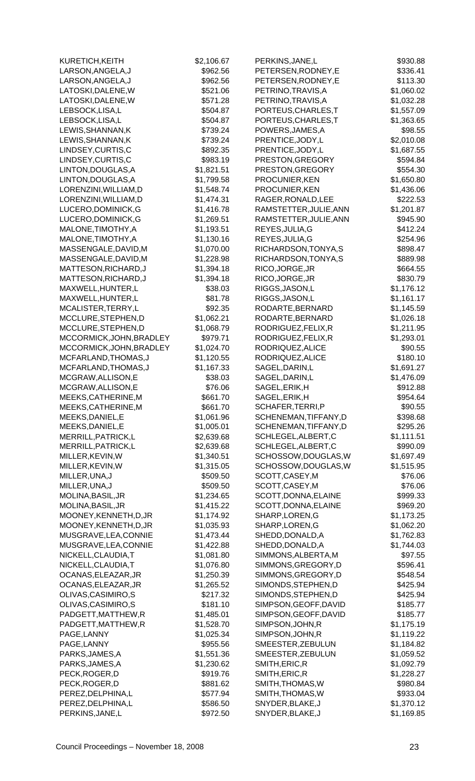| KURETICH, KEITH          | \$2,106.67 | PERKINS, JANE, L       | \$930.88   |
|--------------------------|------------|------------------------|------------|
| LARSON, ANGELA, J        | \$962.56   | PETERSEN, RODNEY, E    | \$336.41   |
| LARSON, ANGELA, J        | \$962.56   | PETERSEN, RODNEY, E    | \$113.30   |
| LATOSKI, DALENE, W       | \$521.06   | PETRINO, TRAVIS, A     | \$1,060.02 |
| LATOSKI, DALENE, W       | \$571.28   | PETRINO, TRAVIS, A     | \$1,032.28 |
| LEBSOCK, LISA, L         | \$504.87   | PORTEUS, CHARLES, T    | \$1,557.09 |
| LEBSOCK,LISA,L           | \$504.87   | PORTEUS, CHARLES, T    | \$1,363.65 |
| LEWIS, SHANNAN, K        | \$739.24   | POWERS, JAMES, A       | \$98.55    |
| LEWIS, SHANNAN, K        | \$739.24   | PRENTICE, JODY, L      | \$2,010.08 |
| LINDSEY, CURTIS, C       | \$892.35   | PRENTICE, JODY, L      | \$1,687.55 |
| LINDSEY, CURTIS, C       | \$983.19   | PRESTON, GREGORY       | \$594.84   |
| LINTON, DOUGLAS, A       | \$1,821.51 | PRESTON, GREGORY       | \$554.30   |
| LINTON, DOUGLAS, A       | \$1,799.58 | PROCUNIER, KEN         | \$1,650.80 |
| LORENZINI, WILLIAM, D    | \$1,548.74 | PROCUNIER, KEN         | \$1,436.06 |
| LORENZINI, WILLIAM, D    | \$1,474.31 | RAGER, RONALD, LEE     | \$222.53   |
| LUCERO, DOMINICK, G      | \$1,416.78 | RAMSTETTER, JULIE, ANN | \$1,201.87 |
| LUCERO, DOMINICK, G      | \$1,269.51 | RAMSTETTER, JULIE, ANN | \$945.90   |
| MALONE, TIMOTHY, A       | \$1,193.51 | REYES, JULIA, G        | \$412.24   |
| MALONE, TIMOTHY, A       | \$1,130.16 | REYES, JULIA, G        | \$254.96   |
| MASSENGALE, DAVID, M     | \$1,070.00 | RICHARDSON, TONYA, S   | \$898.47   |
| MASSENGALE, DAVID, M     | \$1,228.98 | RICHARDSON, TONYA, S   | \$889.98   |
| MATTESON, RICHARD, J     | \$1,394.18 | RICO, JORGE, JR        | \$664.55   |
|                          |            |                        |            |
| MATTESON, RICHARD, J     | \$1,394.18 | RICO, JORGE, JR        | \$830.79   |
| MAXWELL, HUNTER, L       | \$38.03    | RIGGS, JASON, L        | \$1,176.12 |
| MAXWELL, HUNTER, L       | \$81.78    | RIGGS, JASON, L        | \$1,161.17 |
| MCALISTER, TERRY, L      | \$92.35    | RODARTE, BERNARD       | \$1,145.59 |
| MCCLURE, STEPHEN, D      | \$1,062.21 | RODARTE, BERNARD       | \$1,026.18 |
| MCCLURE, STEPHEN, D      | \$1,068.79 | RODRIGUEZ, FELIX, R    | \$1,211.95 |
| MCCORMICK, JOHN, BRADLEY | \$979.71   | RODRIGUEZ, FELIX, R    | \$1,293.01 |
| MCCORMICK, JOHN, BRADLEY | \$1,024.70 | RODRIQUEZ, ALICE       | \$90.55    |
| MCFARLAND, THOMAS, J     | \$1,120.55 | RODRIQUEZ, ALICE       | \$180.10   |
| MCFARLAND, THOMAS, J     | \$1,167.33 | SAGEL, DARIN, L        | \$1,691.27 |
| MCGRAW, ALLISON, E       | \$38.03    | SAGEL, DARIN, L        | \$1,476.09 |
| MCGRAW, ALLISON, E       | \$76.06    | SAGEL, ERIK, H         | \$912.88   |
| MEEKS, CATHERINE, M      | \$661.70   | SAGEL, ERIK, H         | \$954.64   |
| MEEKS,CATHERINE,M        | \$661.70   | SCHAFER, TERRI, P      | \$90.55    |
| MEEKS, DANIEL, E         | \$1,061.96 | SCHENEMAN, TIFFANY, D  | \$398.68   |
| MEEKS, DANIEL, E         | \$1,005.01 | SCHENEMAN, TIFFANY, D  | \$295.26   |
| MERRILL, PATRICK, L      | \$2,639.68 | SCHLEGEL, ALBERT, C    | \$1,111.51 |
| MERRILL, PATRICK, L      | \$2,639.68 | SCHLEGEL, ALBERT, C    | \$990.09   |
| MILLER, KEVIN, W         | \$1,340.51 | SCHOSSOW, DOUGLAS, W   | \$1,697.49 |
| MILLER, KEVIN, W         | \$1,315.05 | SCHOSSOW, DOUGLAS, W   | \$1,515.95 |
| MILLER, UNA, J           | \$509.50   | SCOTT, CASEY, M        | \$76.06    |
| MILLER, UNA, J           | \$509.50   | SCOTT, CASEY, M        | \$76.06    |
| MOLINA, BASIL, JR        | \$1,234.65 | SCOTT, DONNA, ELAINE   | \$999.33   |
| MOLINA, BASIL, JR        | \$1,415.22 | SCOTT, DONNA, ELAINE   | \$969.20   |
| MOONEY, KENNETH, D, JR   | \$1,174.92 | SHARP, LOREN, G        | \$1,173.25 |
| MOONEY, KENNETH, D, JR   | \$1,035.93 | SHARP, LOREN, G        | \$1,062.20 |
| MUSGRAVE, LEA, CONNIE    | \$1,473.44 | SHEDD, DONALD, A       | \$1,762.83 |
| MUSGRAVE, LEA, CONNIE    | \$1,422.88 | SHEDD, DONALD, A       | \$1,744.03 |
| NICKELL, CLAUDIA, T      | \$1,081.80 | SIMMONS, ALBERTA, M    | \$97.55    |
| NICKELL, CLAUDIA, T      | \$1,076.80 | SIMMONS, GREGORY, D    | \$596.41   |
| OCANAS, ELEAZAR, JR      | \$1,250.39 | SIMMONS, GREGORY, D    | \$548.54   |
| OCANAS, ELEAZAR, JR      | \$1,265.52 | SIMONDS, STEPHEN, D    | \$425.94   |
| OLIVAS, CASIMIRO, S      | \$217.32   | SIMONDS, STEPHEN, D    | \$425.94   |
| OLIVAS, CASIMIRO, S      | \$181.10   | SIMPSON, GEOFF, DAVID  | \$185.77   |
| PADGETT, MATTHEW, R      | \$1,485.01 | SIMPSON, GEOFF, DAVID  | \$185.77   |
| PADGETT, MATTHEW, R      | \$1,528.70 | SIMPSON, JOHN, R       | \$1,175.19 |
| PAGE, LANNY              | \$1,025.34 | SIMPSON, JOHN, R       | \$1,119.22 |
| PAGE, LANNY              | \$955.56   | SMEESTER, ZEBULUN      | \$1,184.82 |
| PARKS, JAMES, A          | \$1,551.36 | SMEESTER, ZEBULUN      | \$1,059.52 |
| PARKS, JAMES, A          | \$1,230.62 | SMITH, ERIC, R         | \$1,092.79 |
| PECK, ROGER, D           | \$919.76   | SMITH, ERIC, R         | \$1,228.27 |
| PECK, ROGER, D           | \$881.62   | SMITH, THOMAS, W       | \$980.84   |
| PEREZ, DELPHINA, L       | \$577.94   | SMITH, THOMAS, W       | \$933.04   |
| PEREZ, DELPHINA, L       | \$586.50   | SNYDER, BLAKE, J       | \$1,370.12 |
| PERKINS, JANE, L         | \$972.50   | SNYDER, BLAKE, J       | \$1,169.85 |
|                          |            |                        |            |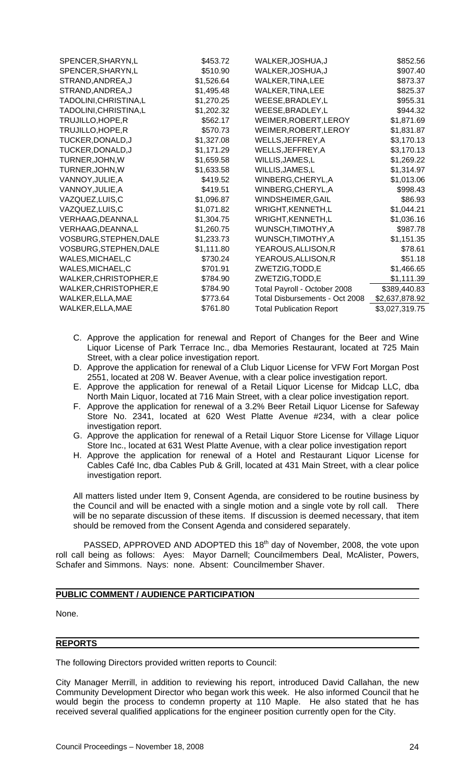| SPENCER, SHARYN, L     | \$453.72   | WALKER, JOSHUA, J               | \$852.56       |
|------------------------|------------|---------------------------------|----------------|
| SPENCER, SHARYN, L     | \$510.90   | WALKER, JOSHUA, J               | \$907.40       |
| STRAND, ANDREA, J      | \$1,526.64 | WALKER, TINA, LEE               | \$873.37       |
| STRAND, ANDREA, J      | \$1,495.48 | WALKER, TINA, LEE               | \$825.37       |
| TADOLINI, CHRISTINA, L | \$1,270.25 | WEESE, BRADLEY, L               | \$955.31       |
| TADOLINI, CHRISTINA, L | \$1,202.32 | WEESE, BRADLEY, L               | \$944.32       |
| TRUJILLO, HOPE, R      | \$562.17   | WEIMER, ROBERT, LEROY           | \$1,871.69     |
| TRUJILLO, HOPE, R      | \$570.73   | WEIMER, ROBERT, LEROY           | \$1,831.87     |
| TUCKER, DONALD, J      | \$1,327.08 | WELLS, JEFFREY, A               | \$3,170.13     |
| TUCKER, DONALD, J      | \$1,171.29 | WELLS, JEFFREY, A               | \$3,170.13     |
| TURNER, JOHN, W        | \$1,659.58 | WILLIS, JAMES, L                | \$1,269.22     |
| TURNER, JOHN, W        | \$1,633.58 | WILLIS, JAMES, L                | \$1,314.97     |
| VANNOY, JULIE, A       | \$419.52   | WINBERG, CHERYL, A              | \$1,013.06     |
| VANNOY, JULIE, A       | \$419.51   | WINBERG, CHERYL, A              | \$998.43       |
| VAZQUEZ, LUIS, C       | \$1,096.87 | WINDSHEIMER, GAIL               | \$86.93        |
| VAZQUEZ, LUIS, C       | \$1,071.82 | WRIGHT, KENNETH, L              | \$1,044.21     |
| VERHAAG, DEANNA, L     | \$1,304.75 | WRIGHT, KENNETH, L              | \$1,036.16     |
| VERHAAG, DEANNA, L     | \$1,260.75 | WUNSCH, TIMOTHY, A              | \$987.78       |
| VOSBURG, STEPHEN, DALE | \$1,233.73 | WUNSCH, TIMOTHY, A              | \$1,151.35     |
| VOSBURG, STEPHEN, DALE | \$1,111.80 | YEAROUS, ALLISON, R             | \$78.61        |
| WALES, MICHAEL, C      | \$730.24   | YEAROUS, ALLISON, R             | \$51.18        |
| WALES, MICHAEL, C      | \$701.91   | ZWETZIG, TODD, E                | \$1,466.65     |
| WALKER, CHRISTOPHER, E | \$784.90   | ZWETZIG, TODD, E                | \$1,111.39     |
| WALKER, CHRISTOPHER, E | \$784.90   | Total Payroll - October 2008    | \$389,440.83   |
| WALKER, ELLA, MAE      | \$773.64   | Total Disbursements - Oct 2008  | \$2,637,878.92 |
| WALKER, ELLA, MAE      | \$761.80   | <b>Total Publication Report</b> | \$3,027,319.75 |
|                        |            |                                 |                |

- C. Approve the application for renewal and Report of Changes for the Beer and Wine Liquor License of Park Terrace Inc., dba Memories Restaurant, located at 725 Main Street, with a clear police investigation report.
- D. Approve the application for renewal of a Club Liquor License for VFW Fort Morgan Post 2551, located at 208 W. Beaver Avenue, with a clear police investigation report.
- E. Approve the application for renewal of a Retail Liquor License for Midcap LLC, dba North Main Liquor, located at 716 Main Street, with a clear police investigation report.
- F. Approve the application for renewal of a 3.2% Beer Retail Liquor License for Safeway Store No. 2341, located at 620 West Platte Avenue #234, with a clear police investigation report.
- G. Approve the application for renewal of a Retail Liquor Store License for Village Liquor Store Inc., located at 631 West Platte Avenue, with a clear police investigation report
- H. Approve the application for renewal of a Hotel and Restaurant Liquor License for Cables Café Inc, dba Cables Pub & Grill, located at 431 Main Street, with a clear police investigation report.

All matters listed under Item 9, Consent Agenda, are considered to be routine business by the Council and will be enacted with a single motion and a single vote by roll call. There will be no separate discussion of these items. If discussion is deemed necessary, that item should be removed from the Consent Agenda and considered separately.

PASSED, APPROVED AND ADOPTED this 18<sup>th</sup> day of November, 2008, the vote upon roll call being as follows: Ayes: Mayor Darnell; Councilmembers Deal, McAlister, Powers, Schafer and Simmons. Nays: none. Absent: Councilmember Shaver.

## **PUBLIC COMMENT / AUDIENCE PARTICIPATION**

None.

#### **REPORTS**

The following Directors provided written reports to Council:

City Manager Merrill, in addition to reviewing his report, introduced David Callahan, the new Community Development Director who began work this week. He also informed Council that he would begin the process to condemn property at 110 Maple. He also stated that he has received several qualified applications for the engineer position currently open for the City.